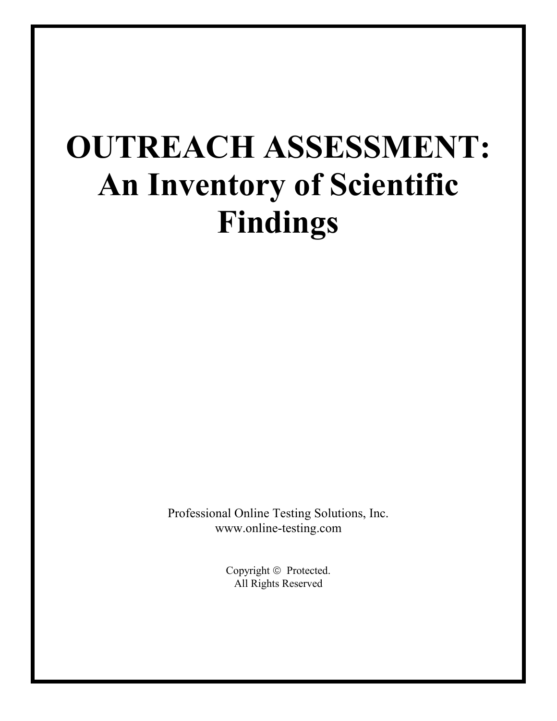# **OUTREACH ASSESSMENT: An Inventory of Scientific Findings**

Professional Online Testing Solutions, Inc. www.online-testing.com

> Copyright  $©$  Protected. All Rights Reserved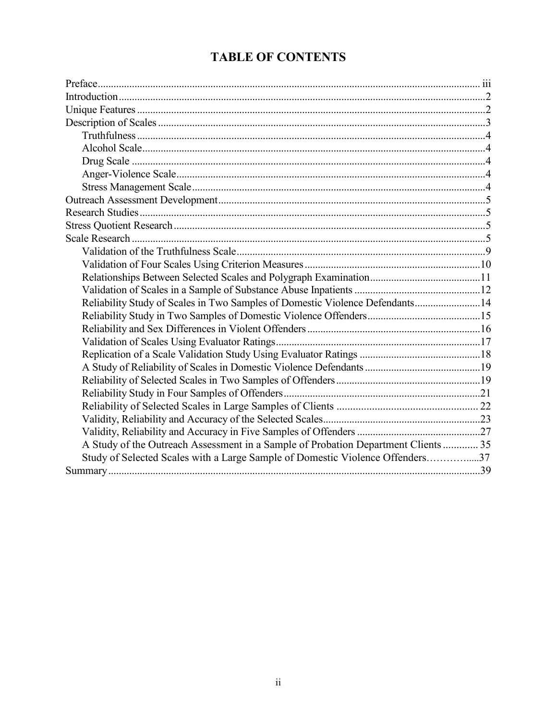# **TABLE OF CONTENTS**

| Reliability Study of Scales in Two Samples of Domestic Violence Defendants14       |  |
|------------------------------------------------------------------------------------|--|
|                                                                                    |  |
|                                                                                    |  |
|                                                                                    |  |
|                                                                                    |  |
|                                                                                    |  |
|                                                                                    |  |
|                                                                                    |  |
|                                                                                    |  |
|                                                                                    |  |
|                                                                                    |  |
| A Study of the Outreach Assessment in a Sample of Probation Department Clients  35 |  |
| Study of Selected Scales with a Large Sample of Domestic Violence Offenders37      |  |
|                                                                                    |  |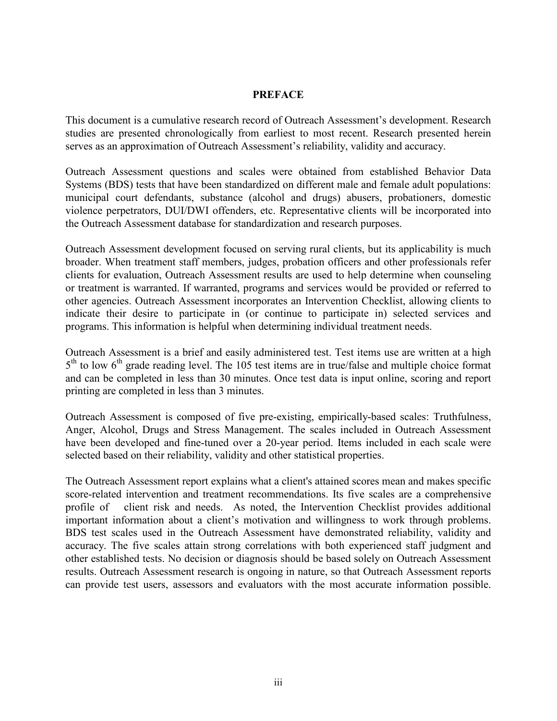#### **PREFACE**

This document is a cumulative research record of Outreach Assessment's development. Research studies are presented chronologically from earliest to most recent. Research presented herein serves as an approximation of Outreach Assessment's reliability, validity and accuracy.

Outreach Assessment questions and scales were obtained from established Behavior Data Systems (BDS) tests that have been standardized on different male and female adult populations: municipal court defendants, substance (alcohol and drugs) abusers, probationers, domestic violence perpetrators, DUI/DWI offenders, etc. Representative clients will be incorporated into the Outreach Assessment database for standardization and research purposes.

Outreach Assessment development focused on serving rural clients, but its applicability is much broader. When treatment staff members, judges, probation officers and other professionals refer clients for evaluation, Outreach Assessment results are used to help determine when counseling or treatment is warranted. If warranted, programs and services would be provided or referred to other agencies. Outreach Assessment incorporates an Intervention Checklist, allowing clients to indicate their desire to participate in (or continue to participate in) selected services and programs. This information is helpful when determining individual treatment needs.

Outreach Assessment is a brief and easily administered test. Test items use are written at a high 5<sup>th</sup> to low 6<sup>th</sup> grade reading level. The 105 test items are in true/false and multiple choice format and can be completed in less than 30 minutes. Once test data is input online, scoring and report printing are completed in less than 3 minutes.

Outreach Assessment is composed of five pre-existing, empirically-based scales: Truthfulness, Anger, Alcohol, Drugs and Stress Management. The scales included in Outreach Assessment have been developed and fine-tuned over a 20-year period. Items included in each scale were selected based on their reliability, validity and other statistical properties.

The Outreach Assessment report explains what a client's attained scores mean and makes specific score-related intervention and treatment recommendations. Its five scales are a comprehensive profile of client risk and needs. As noted, the Intervention Checklist provides additional important information about a client's motivation and willingness to work through problems. BDS test scales used in the Outreach Assessment have demonstrated reliability, validity and accuracy. The five scales attain strong correlations with both experienced staff judgment and other established tests. No decision or diagnosis should be based solely on Outreach Assessment results. Outreach Assessment research is ongoing in nature, so that Outreach Assessment reports can provide test users, assessors and evaluators with the most accurate information possible.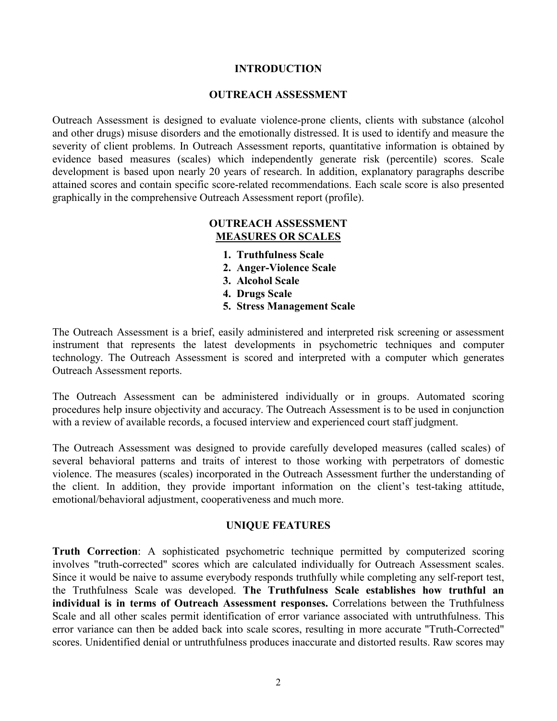#### **INTRODUCTION**

#### **OUTREACH ASSESSMENT**

Outreach Assessment is designed to evaluate violence-prone clients, clients with substance (alcohol and other drugs) misuse disorders and the emotionally distressed. It is used to identify and measure the severity of client problems. In Outreach Assessment reports, quantitative information is obtained by evidence based measures (scales) which independently generate risk (percentile) scores. Scale development is based upon nearly 20 years of research. In addition, explanatory paragraphs describe attained scores and contain specific score-related recommendations. Each scale score is also presented graphically in the comprehensive Outreach Assessment report (profile).

#### **OUTREACH ASSESSMENT MEASURES OR SCALES**

- **1. Truthfulness Scale**
- **2. Anger-Violence Scale**
- **3. Alcohol Scale**
- **4. Drugs Scale**
- **5. Stress Management Scale**

The Outreach Assessment is a brief, easily administered and interpreted risk screening or assessment instrument that represents the latest developments in psychometric techniques and computer technology. The Outreach Assessment is scored and interpreted with a computer which generates Outreach Assessment reports.

The Outreach Assessment can be administered individually or in groups. Automated scoring procedures help insure objectivity and accuracy. The Outreach Assessment is to be used in conjunction with a review of available records, a focused interview and experienced court staff judgment.

The Outreach Assessment was designed to provide carefully developed measures (called scales) of several behavioral patterns and traits of interest to those working with perpetrators of domestic violence. The measures (scales) incorporated in the Outreach Assessment further the understanding of the client. In addition, they provide important information on the client's test-taking attitude, emotional/behavioral adjustment, cooperativeness and much more.

#### **UNIQUE FEATURES**

**Truth Correction**: A sophisticated psychometric technique permitted by computerized scoring involves "truth-corrected" scores which are calculated individually for Outreach Assessment scales. Since it would be naive to assume everybody responds truthfully while completing any self-report test, the Truthfulness Scale was developed. **The Truthfulness Scale establishes how truthful an individual is in terms of Outreach Assessment responses.** Correlations between the Truthfulness Scale and all other scales permit identification of error variance associated with untruthfulness. This error variance can then be added back into scale scores, resulting in more accurate "Truth-Corrected" scores. Unidentified denial or untruthfulness produces inaccurate and distorted results. Raw scores may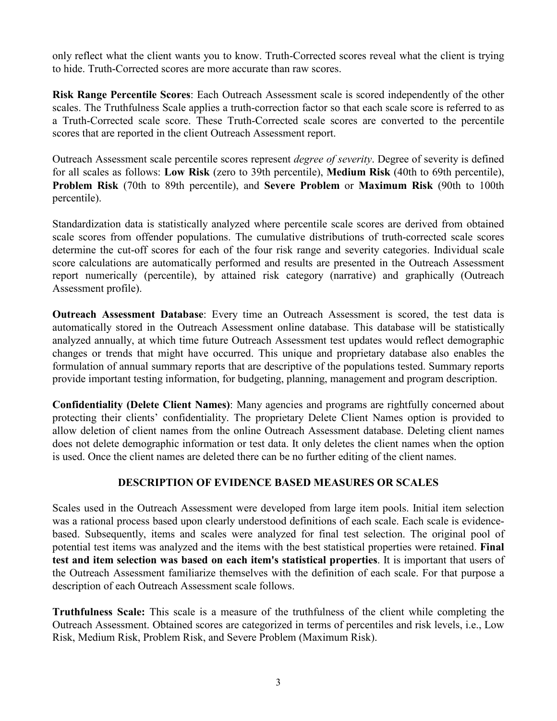only reflect what the client wants you to know. Truth-Corrected scores reveal what the client is trying to hide. Truth-Corrected scores are more accurate than raw scores.

**Risk Range Percentile Scores**: Each Outreach Assessment scale is scored independently of the other scales. The Truthfulness Scale applies a truth-correction factor so that each scale score is referred to as a Truth-Corrected scale score. These Truth-Corrected scale scores are converted to the percentile scores that are reported in the client Outreach Assessment report.

Outreach Assessment scale percentile scores represent *degree of severity*. Degree of severity is defined for all scales as follows: **Low Risk** (zero to 39th percentile), **Medium Risk** (40th to 69th percentile), **Problem Risk** (70th to 89th percentile), and **Severe Problem** or **Maximum Risk** (90th to 100th percentile).

Standardization data is statistically analyzed where percentile scale scores are derived from obtained scale scores from offender populations. The cumulative distributions of truth-corrected scale scores determine the cut-off scores for each of the four risk range and severity categories. Individual scale score calculations are automatically performed and results are presented in the Outreach Assessment report numerically (percentile), by attained risk category (narrative) and graphically (Outreach Assessment profile).

**Outreach Assessment Database**: Every time an Outreach Assessment is scored, the test data is automatically stored in the Outreach Assessment online database. This database will be statistically analyzed annually, at which time future Outreach Assessment test updates would reflect demographic changes or trends that might have occurred. This unique and proprietary database also enables the formulation of annual summary reports that are descriptive of the populations tested. Summary reports provide important testing information, for budgeting, planning, management and program description.

**Confidentiality (Delete Client Names)**: Many agencies and programs are rightfully concerned about protecting their clients' confidentiality. The proprietary Delete Client Names option is provided to allow deletion of client names from the online Outreach Assessment database. Deleting client names does not delete demographic information or test data. It only deletes the client names when the option is used. Once the client names are deleted there can be no further editing of the client names.

# **DESCRIPTION OF EVIDENCE BASED MEASURES OR SCALES**

Scales used in the Outreach Assessment were developed from large item pools. Initial item selection was a rational process based upon clearly understood definitions of each scale. Each scale is evidencebased. Subsequently, items and scales were analyzed for final test selection. The original pool of potential test items was analyzed and the items with the best statistical properties were retained. **Final test and item selection was based on each item's statistical properties**. It is important that users of the Outreach Assessment familiarize themselves with the definition of each scale. For that purpose a description of each Outreach Assessment scale follows.

**Truthfulness Scale:** This scale is a measure of the truthfulness of the client while completing the Outreach Assessment. Obtained scores are categorized in terms of percentiles and risk levels, i.e., Low Risk, Medium Risk, Problem Risk, and Severe Problem (Maximum Risk).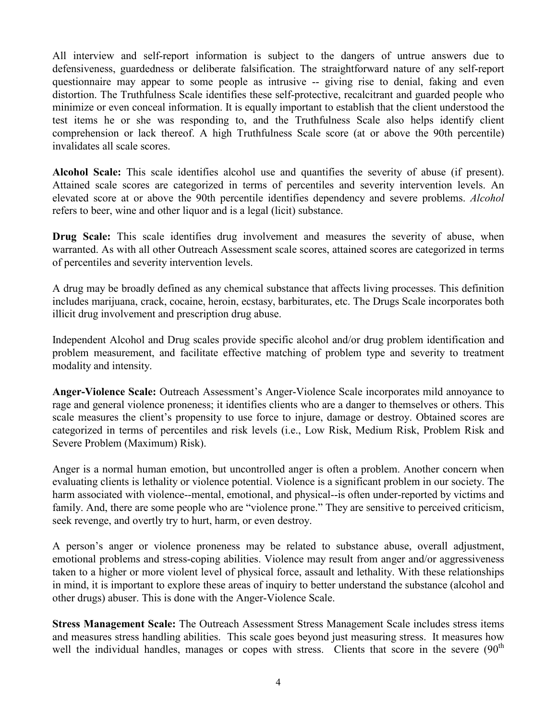All interview and self-report information is subject to the dangers of untrue answers due to defensiveness, guardedness or deliberate falsification. The straightforward nature of any self-report questionnaire may appear to some people as intrusive -- giving rise to denial, faking and even distortion. The Truthfulness Scale identifies these self-protective, recalcitrant and guarded people who minimize or even conceal information. It is equally important to establish that the client understood the test items he or she was responding to, and the Truthfulness Scale also helps identify client comprehension or lack thereof. A high Truthfulness Scale score (at or above the 90th percentile) invalidates all scale scores.

**Alcohol Scale:** This scale identifies alcohol use and quantifies the severity of abuse (if present). Attained scale scores are categorized in terms of percentiles and severity intervention levels. An elevated score at or above the 90th percentile identifies dependency and severe problems. *Alcohol*  refers to beer, wine and other liquor and is a legal (licit) substance.

**Drug Scale:** This scale identifies drug involvement and measures the severity of abuse, when warranted. As with all other Outreach Assessment scale scores, attained scores are categorized in terms of percentiles and severity intervention levels.

A drug may be broadly defined as any chemical substance that affects living processes. This definition includes marijuana, crack, cocaine, heroin, ecstasy, barbiturates, etc. The Drugs Scale incorporates both illicit drug involvement and prescription drug abuse.

Independent Alcohol and Drug scales provide specific alcohol and/or drug problem identification and problem measurement, and facilitate effective matching of problem type and severity to treatment modality and intensity.

**Anger-Violence Scale:** Outreach Assessment's Anger-Violence Scale incorporates mild annoyance to rage and general violence proneness; it identifies clients who are a danger to themselves or others. This scale measures the client's propensity to use force to injure, damage or destroy. Obtained scores are categorized in terms of percentiles and risk levels (i.e., Low Risk, Medium Risk, Problem Risk and Severe Problem (Maximum) Risk).

Anger is a normal human emotion, but uncontrolled anger is often a problem. Another concern when evaluating clients is lethality or violence potential. Violence is a significant problem in our society. The harm associated with violence--mental, emotional, and physical--is often under-reported by victims and family. And, there are some people who are "violence prone." They are sensitive to perceived criticism, seek revenge, and overtly try to hurt, harm, or even destroy.

A person's anger or violence proneness may be related to substance abuse, overall adjustment, emotional problems and stress-coping abilities. Violence may result from anger and/or aggressiveness taken to a higher or more violent level of physical force, assault and lethality. With these relationships in mind, it is important to explore these areas of inquiry to better understand the substance (alcohol and other drugs) abuser. This is done with the Anger-Violence Scale.

**Stress Management Scale:** The Outreach Assessment Stress Management Scale includes stress items and measures stress handling abilities. This scale goes beyond just measuring stress. It measures how well the individual handles, manages or copes with stress. Clients that score in the severe (90<sup>th</sup>)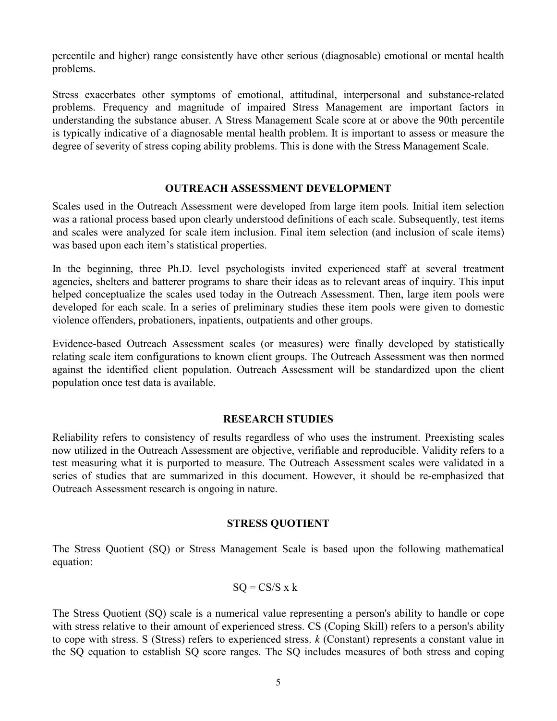percentile and higher) range consistently have other serious (diagnosable) emotional or mental health problems.

Stress exacerbates other symptoms of emotional, attitudinal, interpersonal and substance-related problems. Frequency and magnitude of impaired Stress Management are important factors in understanding the substance abuser. A Stress Management Scale score at or above the 90th percentile is typically indicative of a diagnosable mental health problem. It is important to assess or measure the degree of severity of stress coping ability problems. This is done with the Stress Management Scale.

#### **OUTREACH ASSESSMENT DEVELOPMENT**

Scales used in the Outreach Assessment were developed from large item pools. Initial item selection was a rational process based upon clearly understood definitions of each scale. Subsequently, test items and scales were analyzed for scale item inclusion. Final item selection (and inclusion of scale items) was based upon each item's statistical properties.

In the beginning, three Ph.D. level psychologists invited experienced staff at several treatment agencies, shelters and batterer programs to share their ideas as to relevant areas of inquiry. This input helped conceptualize the scales used today in the Outreach Assessment. Then, large item pools were developed for each scale. In a series of preliminary studies these item pools were given to domestic violence offenders, probationers, inpatients, outpatients and other groups.

Evidence-based Outreach Assessment scales (or measures) were finally developed by statistically relating scale item configurations to known client groups. The Outreach Assessment was then normed against the identified client population. Outreach Assessment will be standardized upon the client population once test data is available.

#### **RESEARCH STUDIES**

Reliability refers to consistency of results regardless of who uses the instrument. Preexisting scales now utilized in the Outreach Assessment are objective, verifiable and reproducible. Validity refers to a test measuring what it is purported to measure. The Outreach Assessment scales were validated in a series of studies that are summarized in this document. However, it should be re-emphasized that Outreach Assessment research is ongoing in nature.

#### **STRESS QUOTIENT**

The Stress Quotient (SQ) or Stress Management Scale is based upon the following mathematical equation:

# $SO = CS/S \times k$

The Stress Quotient (SQ) scale is a numerical value representing a person's ability to handle or cope with stress relative to their amount of experienced stress. CS (Coping Skill) refers to a person's ability to cope with stress. S (Stress) refers to experienced stress. *k* (Constant) represents a constant value in the SQ equation to establish SQ score ranges. The SQ includes measures of both stress and coping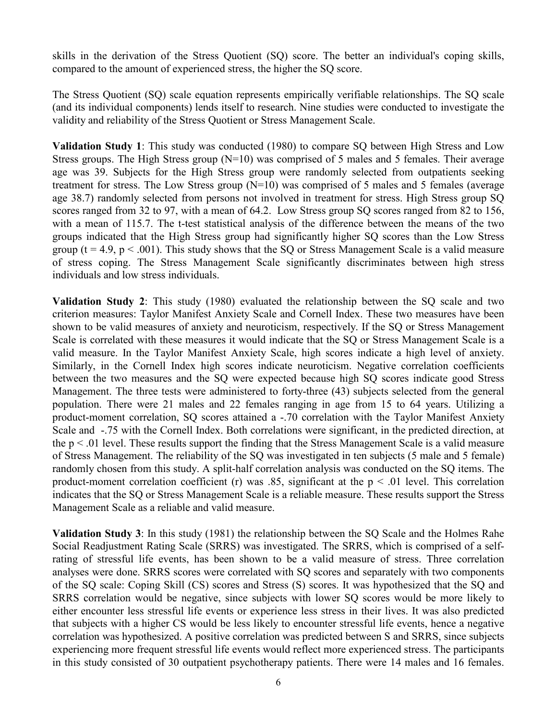skills in the derivation of the Stress Quotient (SQ) score. The better an individual's coping skills, compared to the amount of experienced stress, the higher the SQ score.

The Stress Quotient (SQ) scale equation represents empirically verifiable relationships. The SQ scale (and its individual components) lends itself to research. Nine studies were conducted to investigate the validity and reliability of the Stress Quotient or Stress Management Scale.

**Validation Study 1**: This study was conducted (1980) to compare SQ between High Stress and Low Stress groups. The High Stress group (N=10) was comprised of 5 males and 5 females. Their average age was 39. Subjects for the High Stress group were randomly selected from outpatients seeking treatment for stress. The Low Stress group (N=10) was comprised of 5 males and 5 females (average age 38.7) randomly selected from persons not involved in treatment for stress. High Stress group SQ scores ranged from 32 to 97, with a mean of 64.2. Low Stress group SQ scores ranged from 82 to 156, with a mean of 115.7. The t-test statistical analysis of the difference between the means of the two groups indicated that the High Stress group had significantly higher SQ scores than the Low Stress group ( $t = 4.9$ ,  $p < .001$ ). This study shows that the SO or Stress Management Scale is a valid measure of stress coping. The Stress Management Scale significantly discriminates between high stress individuals and low stress individuals.

**Validation Study 2**: This study (1980) evaluated the relationship between the SQ scale and two criterion measures: Taylor Manifest Anxiety Scale and Cornell Index. These two measures have been shown to be valid measures of anxiety and neuroticism, respectively. If the SQ or Stress Management Scale is correlated with these measures it would indicate that the SQ or Stress Management Scale is a valid measure. In the Taylor Manifest Anxiety Scale, high scores indicate a high level of anxiety. Similarly, in the Cornell Index high scores indicate neuroticism. Negative correlation coefficients between the two measures and the SQ were expected because high SQ scores indicate good Stress Management. The three tests were administered to forty-three (43) subjects selected from the general population. There were 21 males and 22 females ranging in age from 15 to 64 years. Utilizing a product-moment correlation, SQ scores attained a -.70 correlation with the Taylor Manifest Anxiety Scale and -.75 with the Cornell Index. Both correlations were significant, in the predicted direction, at the  $p < 0.01$  level. These results support the finding that the Stress Management Scale is a valid measure of Stress Management. The reliability of the SQ was investigated in ten subjects (5 male and 5 female) randomly chosen from this study. A split-half correlation analysis was conducted on the SQ items. The product-moment correlation coefficient (r) was .85, significant at the  $p \le 0.01$  level. This correlation indicates that the SQ or Stress Management Scale is a reliable measure. These results support the Stress Management Scale as a reliable and valid measure.

**Validation Study 3**: In this study (1981) the relationship between the SQ Scale and the Holmes Rahe Social Readjustment Rating Scale (SRRS) was investigated. The SRRS, which is comprised of a selfrating of stressful life events, has been shown to be a valid measure of stress. Three correlation analyses were done. SRRS scores were correlated with SQ scores and separately with two components of the SQ scale: Coping Skill (CS) scores and Stress (S) scores. It was hypothesized that the SQ and SRRS correlation would be negative, since subjects with lower SQ scores would be more likely to either encounter less stressful life events or experience less stress in their lives. It was also predicted that subjects with a higher CS would be less likely to encounter stressful life events, hence a negative correlation was hypothesized. A positive correlation was predicted between S and SRRS, since subjects experiencing more frequent stressful life events would reflect more experienced stress. The participants in this study consisted of 30 outpatient psychotherapy patients. There were 14 males and 16 females.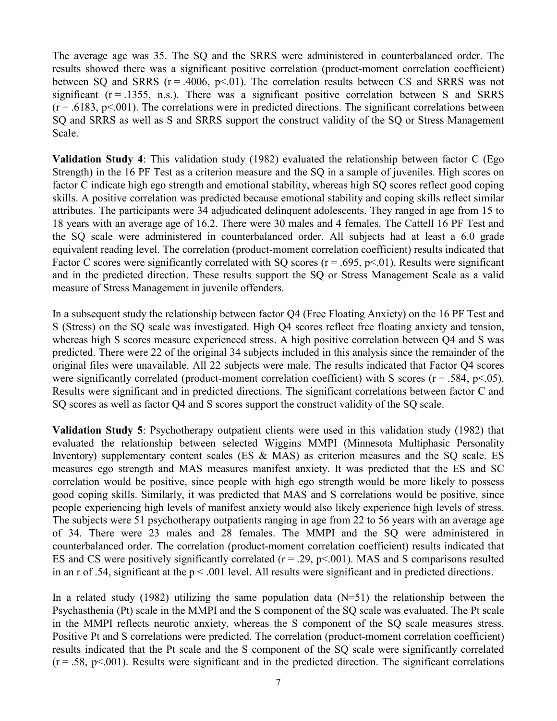The average age was 35. The SQ and the SRRS were administered in counterbalanced order. The results showed there was a significant positive correlation (product-moment correlation coefficient) between SQ and SRRS  $(r = .4006, p < .01)$ . The correlation results between CS and SRRS was not significant  $(r = .1355, n.s.)$ . There was a significant positive correlation between S and SRRS  $(r = .6183, p < .001)$ . The correlations were in predicted directions. The significant correlations between SQ and SRRS as well as S and SRRS support the construct validity of the SQ or Stress Management Scale.

**Validation Study 4**: This validation study (1982) evaluated the relationship between factor C (Ego Strength) in the 16 PF Test as a criterion measure and the SQ in a sample of juveniles. High scores on factor C indicate high ego strength and emotional stability, whereas high SQ scores reflect good coping skills. A positive correlation was predicted because emotional stability and coping skills reflect similar attributes. The participants were 34 adjudicated delinquent adolescents. They ranged in age from 15 to 18 years with an average age of 16.2. There were 30 males and 4 females. The Cattell 16 PF Test and the SQ scale were administered in counterbalanced order. All subjects had at least a 6.0 grade equivalent reading level. The correlation (product-moment correlation coefficient) results indicated that Factor C scores were significantly correlated with SQ scores ( $r = .695$ ,  $p < .01$ ). Results were significant and in the predicted direction. These results support the SQ or Stress Management Scale as a valid measure of Stress Management in juvenile offenders.

In a subsequent study the relationship between factor Q4 (Free Floating Anxiety) on the 16 PF Test and S (Stress) on the SQ scale was investigated. High Q4 scores reflect free floating anxiety and tension, whereas high S scores measure experienced stress. A high positive correlation between Q4 and S was predicted. There were 22 of the original 34 subjects included in this analysis since the remainder of the original files were unavailable. All 22 subjects were male. The results indicated that Factor Q4 scores were significantly correlated (product-moment correlation coefficient) with S scores ( $r = .584$ ,  $p < .05$ ). Results were significant and in predicted directions. The significant correlations between factor C and SQ scores as well as factor Q4 and S scores support the construct validity of the SQ scale.

**Validation Study 5**: Psychotherapy outpatient clients were used in this validation study (1982) that evaluated the relationship between selected Wiggins MMPI (Minnesota Multiphasic Personality Inventory) supplementary content scales (ES & MAS) as criterion measures and the SQ scale. ES measures ego strength and MAS measures manifest anxiety. It was predicted that the ES and SC correlation would be positive, since people with high ego strength would be more likely to possess good coping skills. Similarly, it was predicted that MAS and S correlations would be positive, since people experiencing high levels of manifest anxiety would also likely experience high levels of stress. The subjects were 51 psychotherapy outpatients ranging in age from 22 to 56 years with an average age of 34. There were 23 males and 28 females. The MMPI and the SQ were administered in counterbalanced order. The correlation (product-moment correlation coefficient) results indicated that ES and CS were positively significantly correlated ( $r = 0.29$ ,  $p \le 0.001$ ). MAS and S comparisons resulted in an r of .54, significant at the  $p \le 0.001$  level. All results were significant and in predicted directions.

In a related study (1982) utilizing the same population data  $(N=51)$  the relationship between the Psychasthenia (Pt) scale in the MMPI and the S component of the SQ scale was evaluated. The Pt scale in the MMPI reflects neurotic anxiety, whereas the S component of the SQ scale measures stress. Positive Pt and S correlations were predicted. The correlation (product-moment correlation coefficient) results indicated that the Pt scale and the S component of the SQ scale were significantly correlated  $(r = .58, p < .001)$ . Results were significant and in the predicted direction. The significant correlations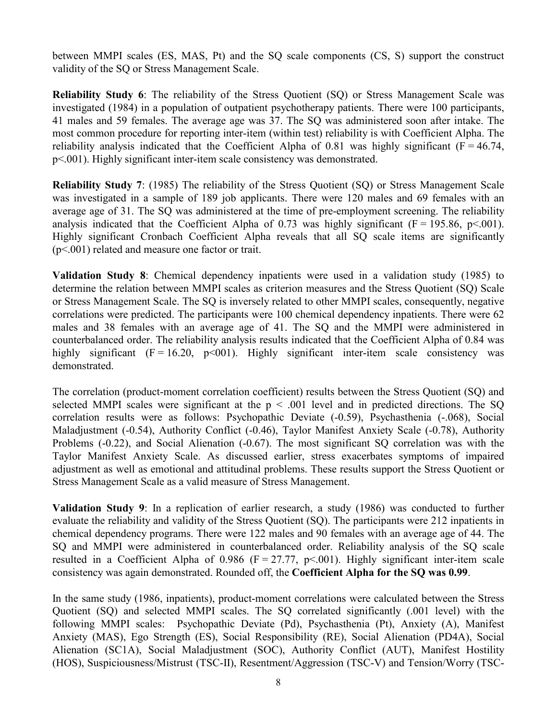between MMPI scales (ES, MAS, Pt) and the SQ scale components (CS, S) support the construct validity of the SQ or Stress Management Scale.

**Reliability Study 6**: The reliability of the Stress Quotient (SQ) or Stress Management Scale was investigated (1984) in a population of outpatient psychotherapy patients. There were 100 participants, 41 males and 59 females. The average age was 37. The SQ was administered soon after intake. The most common procedure for reporting inter-item (within test) reliability is with Coefficient Alpha. The reliability analysis indicated that the Coefficient Alpha of 0.81 was highly significant ( $F = 46.74$ , p<.001). Highly significant inter-item scale consistency was demonstrated.

**Reliability Study 7**: (1985) The reliability of the Stress Quotient (SQ) or Stress Management Scale was investigated in a sample of 189 job applicants. There were 120 males and 69 females with an average age of 31. The SQ was administered at the time of pre-employment screening. The reliability analysis indicated that the Coefficient Alpha of 0.73 was highly significant ( $F = 195.86$ ,  $p \le 0.001$ ). Highly significant Cronbach Coefficient Alpha reveals that all SQ scale items are significantly (p<.001) related and measure one factor or trait.

**Validation Study 8**: Chemical dependency inpatients were used in a validation study (1985) to determine the relation between MMPI scales as criterion measures and the Stress Quotient (SQ) Scale or Stress Management Scale. The SQ is inversely related to other MMPI scales, consequently, negative correlations were predicted. The participants were 100 chemical dependency inpatients. There were 62 males and 38 females with an average age of 41. The SQ and the MMPI were administered in counterbalanced order. The reliability analysis results indicated that the Coefficient Alpha of 0.84 was highly significant  $(F = 16.20, p<001)$ . Highly significant inter-item scale consistency was demonstrated.

The correlation (product-moment correlation coefficient) results between the Stress Quotient (SQ) and selected MMPI scales were significant at the  $p < .001$  level and in predicted directions. The SQ correlation results were as follows: Psychopathic Deviate (-0.59), Psychasthenia (-.068), Social Maladjustment (-0.54), Authority Conflict (-0.46), Taylor Manifest Anxiety Scale (-0.78), Authority Problems (-0.22), and Social Alienation (-0.67). The most significant SQ correlation was with the Taylor Manifest Anxiety Scale. As discussed earlier, stress exacerbates symptoms of impaired adjustment as well as emotional and attitudinal problems. These results support the Stress Quotient or Stress Management Scale as a valid measure of Stress Management.

**Validation Study 9**: In a replication of earlier research, a study (1986) was conducted to further evaluate the reliability and validity of the Stress Quotient (SQ). The participants were 212 inpatients in chemical dependency programs. There were 122 males and 90 females with an average age of 44. The SQ and MMPI were administered in counterbalanced order. Reliability analysis of the SQ scale resulted in a Coefficient Alpha of 0.986 ( $F = 27.77$ ,  $p < .001$ ). Highly significant inter-item scale consistency was again demonstrated. Rounded off, the **Coefficient Alpha for the SQ was 0.99**.

In the same study (1986, inpatients), product-moment correlations were calculated between the Stress Quotient (SQ) and selected MMPI scales. The SQ correlated significantly (.001 level) with the following MMPI scales: Psychopathic Deviate (Pd), Psychasthenia (Pt), Anxiety (A), Manifest Anxiety (MAS), Ego Strength (ES), Social Responsibility (RE), Social Alienation (PD4A), Social Alienation (SC1A), Social Maladjustment (SOC), Authority Conflict (AUT), Manifest Hostility (HOS), Suspiciousness/Mistrust (TSC-II), Resentment/Aggression (TSC-V) and Tension/Worry (TSC-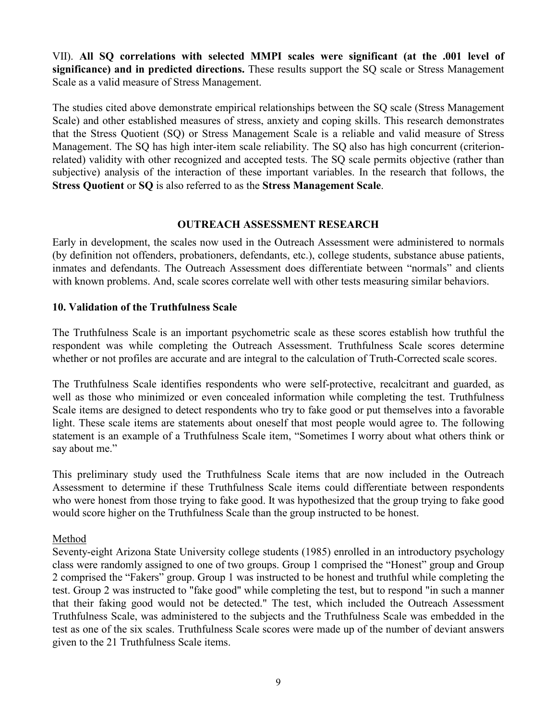VII). **All SQ correlations with selected MMPI scales were significant (at the .001 level of significance) and in predicted directions.** These results support the SQ scale or Stress Management Scale as a valid measure of Stress Management.

The studies cited above demonstrate empirical relationships between the SQ scale (Stress Management Scale) and other established measures of stress, anxiety and coping skills. This research demonstrates that the Stress Quotient (SQ) or Stress Management Scale is a reliable and valid measure of Stress Management. The SQ has high inter-item scale reliability. The SQ also has high concurrent (criterionrelated) validity with other recognized and accepted tests. The SQ scale permits objective (rather than subjective) analysis of the interaction of these important variables. In the research that follows, the **Stress Quotient** or **SQ** is also referred to as the **Stress Management Scale**.

#### **OUTREACH ASSESSMENT RESEARCH**

Early in development, the scales now used in the Outreach Assessment were administered to normals (by definition not offenders, probationers, defendants, etc.), college students, substance abuse patients, inmates and defendants. The Outreach Assessment does differentiate between "normals" and clients with known problems. And, scale scores correlate well with other tests measuring similar behaviors.

# **10. Validation of the Truthfulness Scale**

The Truthfulness Scale is an important psychometric scale as these scores establish how truthful the respondent was while completing the Outreach Assessment. Truthfulness Scale scores determine whether or not profiles are accurate and are integral to the calculation of Truth-Corrected scale scores.

The Truthfulness Scale identifies respondents who were self-protective, recalcitrant and guarded, as well as those who minimized or even concealed information while completing the test. Truthfulness Scale items are designed to detect respondents who try to fake good or put themselves into a favorable light. These scale items are statements about oneself that most people would agree to. The following statement is an example of a Truthfulness Scale item, "Sometimes I worry about what others think or say about me."

This preliminary study used the Truthfulness Scale items that are now included in the Outreach Assessment to determine if these Truthfulness Scale items could differentiate between respondents who were honest from those trying to fake good. It was hypothesized that the group trying to fake good would score higher on the Truthfulness Scale than the group instructed to be honest.

# Method

Seventy-eight Arizona State University college students (1985) enrolled in an introductory psychology class were randomly assigned to one of two groups. Group 1 comprised the "Honest" group and Group 2 comprised the "Fakers" group. Group 1 was instructed to be honest and truthful while completing the test. Group 2 was instructed to "fake good" while completing the test, but to respond "in such a manner that their faking good would not be detected." The test, which included the Outreach Assessment Truthfulness Scale, was administered to the subjects and the Truthfulness Scale was embedded in the test as one of the six scales. Truthfulness Scale scores were made up of the number of deviant answers given to the 21 Truthfulness Scale items.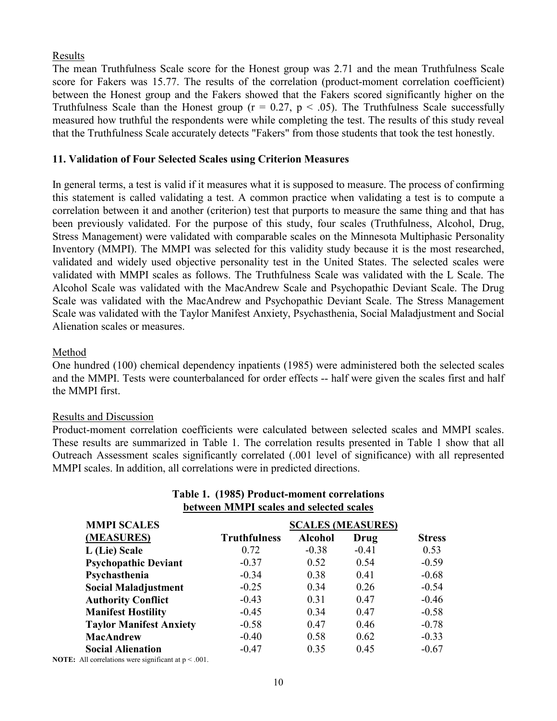#### Results

The mean Truthfulness Scale score for the Honest group was 2.71 and the mean Truthfulness Scale score for Fakers was 15.77. The results of the correlation (product-moment correlation coefficient) between the Honest group and the Fakers showed that the Fakers scored significantly higher on the Truthfulness Scale than the Honest group ( $r = 0.27$ ,  $p < .05$ ). The Truthfulness Scale successfully measured how truthful the respondents were while completing the test. The results of this study reveal that the Truthfulness Scale accurately detects "Fakers" from those students that took the test honestly.

# **11. Validation of Four Selected Scales using Criterion Measures**

In general terms, a test is valid if it measures what it is supposed to measure. The process of confirming this statement is called validating a test. A common practice when validating a test is to compute a correlation between it and another (criterion) test that purports to measure the same thing and that has been previously validated. For the purpose of this study, four scales (Truthfulness, Alcohol, Drug, Stress Management) were validated with comparable scales on the Minnesota Multiphasic Personality Inventory (MMPI). The MMPI was selected for this validity study because it is the most researched, validated and widely used objective personality test in the United States. The selected scales were validated with MMPI scales as follows. The Truthfulness Scale was validated with the L Scale. The Alcohol Scale was validated with the MacAndrew Scale and Psychopathic Deviant Scale. The Drug Scale was validated with the MacAndrew and Psychopathic Deviant Scale. The Stress Management Scale was validated with the Taylor Manifest Anxiety, Psychasthenia, Social Maladjustment and Social Alienation scales or measures.

#### Method

One hundred (100) chemical dependency inpatients (1985) were administered both the selected scales and the MMPI. Tests were counterbalanced for order effects -- half were given the scales first and half the MMPI first.

#### Results and Discussion

Product-moment correlation coefficients were calculated between selected scales and MMPI scales. These results are summarized in Table 1. The correlation results presented in Table 1 show that all Outreach Assessment scales significantly correlated (.001 level of significance) with all represented MMPI scales. In addition, all correlations were in predicted directions.

| <b>MMPI SCALES</b>             | <b>SCALES (MEASURES)</b> |                |         |               |
|--------------------------------|--------------------------|----------------|---------|---------------|
| (MEASURES)                     | <b>Truthfulness</b>      | <b>Alcohol</b> | Drug    | <b>Stress</b> |
| L (Lie) Scale                  | 0.72                     | $-0.38$        | $-0.41$ | 0.53          |
| <b>Psychopathic Deviant</b>    | $-0.37$                  | 0.52           | 0.54    | $-0.59$       |
| Psychasthenia                  | $-0.34$                  | 0.38           | 0.41    | $-0.68$       |
| <b>Social Maladjustment</b>    | $-0.25$                  | 0.34           | 0.26    | $-0.54$       |
| <b>Authority Conflict</b>      | $-0.43$                  | 0.31           | 0.47    | $-0.46$       |
| <b>Manifest Hostility</b>      | $-0.45$                  | 0.34           | 0.47    | $-0.58$       |
| <b>Taylor Manifest Anxiety</b> | $-0.58$                  | 0.47           | 0.46    | $-0.78$       |
| <b>MacAndrew</b>               | $-0.40$                  | 0.58           | 0.62    | $-0.33$       |
| <b>Social Alienation</b>       | $-0.47$                  | 0.35           | 0.45    | $-0.67$       |
|                                |                          |                |         |               |

#### **Table 1. (1985) Product-moment correlations between MMPI scales and selected scales**

**NOTE:** All correlations were significant at  $p < .001$ .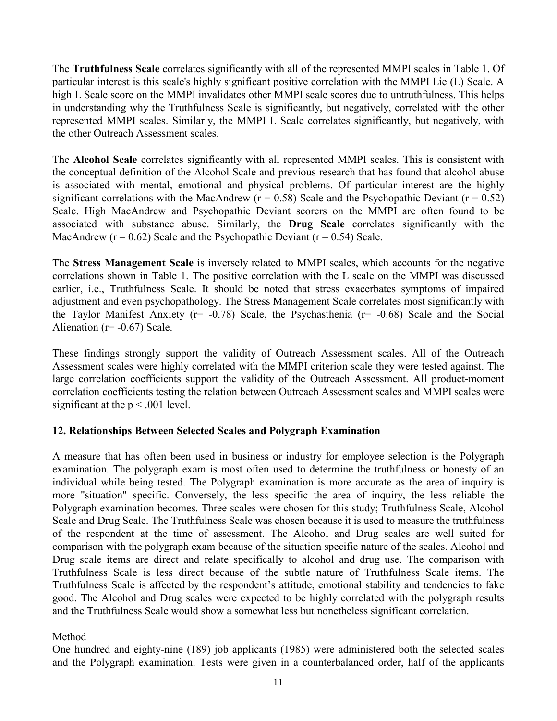The **Truthfulness Scale** correlates significantly with all of the represented MMPI scales in Table 1. Of particular interest is this scale's highly significant positive correlation with the MMPI Lie (L) Scale. A high L Scale score on the MMPI invalidates other MMPI scale scores due to untruthfulness. This helps in understanding why the Truthfulness Scale is significantly, but negatively, correlated with the other represented MMPI scales. Similarly, the MMPI L Scale correlates significantly, but negatively, with the other Outreach Assessment scales.

The **Alcohol Scale** correlates significantly with all represented MMPI scales. This is consistent with the conceptual definition of the Alcohol Scale and previous research that has found that alcohol abuse is associated with mental, emotional and physical problems. Of particular interest are the highly significant correlations with the MacAndrew ( $r = 0.58$ ) Scale and the Psychopathic Deviant ( $r = 0.52$ ) Scale. High MacAndrew and Psychopathic Deviant scorers on the MMPI are often found to be associated with substance abuse. Similarly, the **Drug Scale** correlates significantly with the MacAndrew ( $r = 0.62$ ) Scale and the Psychopathic Deviant ( $r = 0.54$ ) Scale.

The **Stress Management Scale** is inversely related to MMPI scales, which accounts for the negative correlations shown in Table 1. The positive correlation with the L scale on the MMPI was discussed earlier, i.e., Truthfulness Scale. It should be noted that stress exacerbates symptoms of impaired adjustment and even psychopathology. The Stress Management Scale correlates most significantly with the Taylor Manifest Anxiety ( $r = -0.78$ ) Scale, the Psychasthenia ( $r = -0.68$ ) Scale and the Social Alienation ( $r=$  -0.67) Scale.

These findings strongly support the validity of Outreach Assessment scales. All of the Outreach Assessment scales were highly correlated with the MMPI criterion scale they were tested against. The large correlation coefficients support the validity of the Outreach Assessment. All product-moment correlation coefficients testing the relation between Outreach Assessment scales and MMPI scales were significant at the  $p < .001$  level.

# **12. Relationships Between Selected Scales and Polygraph Examination**

A measure that has often been used in business or industry for employee selection is the Polygraph examination. The polygraph exam is most often used to determine the truthfulness or honesty of an individual while being tested. The Polygraph examination is more accurate as the area of inquiry is more "situation" specific. Conversely, the less specific the area of inquiry, the less reliable the Polygraph examination becomes. Three scales were chosen for this study; Truthfulness Scale, Alcohol Scale and Drug Scale. The Truthfulness Scale was chosen because it is used to measure the truthfulness of the respondent at the time of assessment. The Alcohol and Drug scales are well suited for comparison with the polygraph exam because of the situation specific nature of the scales. Alcohol and Drug scale items are direct and relate specifically to alcohol and drug use. The comparison with Truthfulness Scale is less direct because of the subtle nature of Truthfulness Scale items. The Truthfulness Scale is affected by the respondent's attitude, emotional stability and tendencies to fake good. The Alcohol and Drug scales were expected to be highly correlated with the polygraph results and the Truthfulness Scale would show a somewhat less but nonetheless significant correlation.

# Method

One hundred and eighty-nine (189) job applicants (1985) were administered both the selected scales and the Polygraph examination. Tests were given in a counterbalanced order, half of the applicants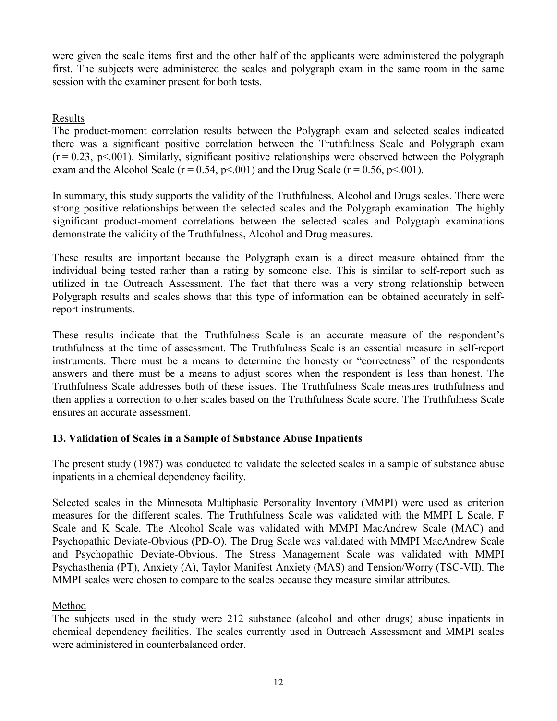were given the scale items first and the other half of the applicants were administered the polygraph first. The subjects were administered the scales and polygraph exam in the same room in the same session with the examiner present for both tests.

# Results

The product-moment correlation results between the Polygraph exam and selected scales indicated there was a significant positive correlation between the Truthfulness Scale and Polygraph exam  $(r = 0.23, p \le 0.001)$ . Similarly, significant positive relationships were observed between the Polygraph exam and the Alcohol Scale ( $r = 0.54$ ,  $p \le 0.01$ ) and the Drug Scale ( $r = 0.56$ ,  $p \le 0.01$ ).

In summary, this study supports the validity of the Truthfulness, Alcohol and Drugs scales. There were strong positive relationships between the selected scales and the Polygraph examination. The highly significant product-moment correlations between the selected scales and Polygraph examinations demonstrate the validity of the Truthfulness, Alcohol and Drug measures.

These results are important because the Polygraph exam is a direct measure obtained from the individual being tested rather than a rating by someone else. This is similar to self-report such as utilized in the Outreach Assessment. The fact that there was a very strong relationship between Polygraph results and scales shows that this type of information can be obtained accurately in selfreport instruments.

These results indicate that the Truthfulness Scale is an accurate measure of the respondent's truthfulness at the time of assessment. The Truthfulness Scale is an essential measure in self-report instruments. There must be a means to determine the honesty or "correctness" of the respondents answers and there must be a means to adjust scores when the respondent is less than honest. The Truthfulness Scale addresses both of these issues. The Truthfulness Scale measures truthfulness and then applies a correction to other scales based on the Truthfulness Scale score. The Truthfulness Scale ensures an accurate assessment.

# **13. Validation of Scales in a Sample of Substance Abuse Inpatients**

The present study (1987) was conducted to validate the selected scales in a sample of substance abuse inpatients in a chemical dependency facility.

Selected scales in the Minnesota Multiphasic Personality Inventory (MMPI) were used as criterion measures for the different scales. The Truthfulness Scale was validated with the MMPI L Scale, F Scale and K Scale. The Alcohol Scale was validated with MMPI MacAndrew Scale (MAC) and Psychopathic Deviate-Obvious (PD-O). The Drug Scale was validated with MMPI MacAndrew Scale and Psychopathic Deviate-Obvious. The Stress Management Scale was validated with MMPI Psychasthenia (PT), Anxiety (A), Taylor Manifest Anxiety (MAS) and Tension/Worry (TSC-VII). The MMPI scales were chosen to compare to the scales because they measure similar attributes.

# Method

The subjects used in the study were 212 substance (alcohol and other drugs) abuse inpatients in chemical dependency facilities. The scales currently used in Outreach Assessment and MMPI scales were administered in counterbalanced order.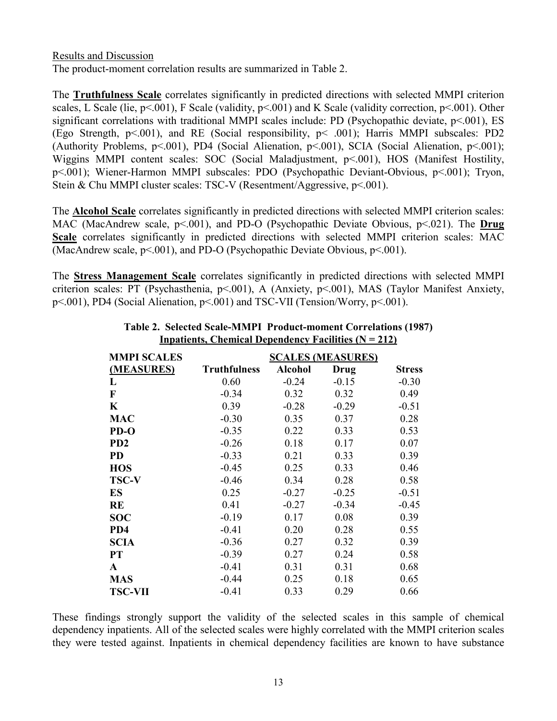Results and Discussion The product-moment correlation results are summarized in Table 2.

The **Truthfulness Scale** correlates significantly in predicted directions with selected MMPI criterion scales, L Scale (lie, p<.001), F Scale (validity, p<.001) and K Scale (validity correction, p<.001). Other significant correlations with traditional MMPI scales include: PD (Psychopathic deviate, p<.001), ES (Ego Strength, p<.001), and RE (Social responsibility, p< .001); Harris MMPI subscales: PD2 (Authority Problems,  $p \le 0.001$ ), PD4 (Social Alienation,  $p \le 0.001$ ), SCIA (Social Alienation,  $p \le 0.001$ ); Wiggins MMPI content scales: SOC (Social Maladjustment, p<.001), HOS (Manifest Hostility, p<.001); Wiener-Harmon MMPI subscales: PDO (Psychopathic Deviant-Obvious, p<.001); Tryon, Stein & Chu MMPI cluster scales: TSC-V (Resentment/Aggressive, p<.001).

The **Alcohol Scale** correlates significantly in predicted directions with selected MMPI criterion scales: MAC (MacAndrew scale, p<.001), and PD-O (Psychopathic Deviate Obvious, p<.021). The **Drug Scale** correlates significantly in predicted directions with selected MMPI criterion scales: MAC (MacAndrew scale, p<.001), and PD-O (Psychopathic Deviate Obvious, p<.001).

The **Stress Management Scale** correlates significantly in predicted directions with selected MMPI criterion scales: PT (Psychasthenia, p<.001), A (Anxiety, p<.001), MAS (Taylor Manifest Anxiety, p<.001), PD4 (Social Alienation, p<.001) and TSC-VII (Tension/Worry, p<.001).

| <b>MMPI SCALES</b> |                     |                | <b>SCALES (MEASURES)</b> |               |
|--------------------|---------------------|----------------|--------------------------|---------------|
| (MEASURES)         | <b>Truthfulness</b> | <b>Alcohol</b> | Drug                     | <b>Stress</b> |
| L                  | 0.60                | $-0.24$        | $-0.15$                  | $-0.30$       |
| F                  | $-0.34$             | 0.32           | 0.32                     | 0.49          |
| K                  | 0.39                | $-0.28$        | $-0.29$                  | $-0.51$       |
| <b>MAC</b>         | $-0.30$             | 0.35           | 0.37                     | 0.28          |
| $PD-O$             | $-0.35$             | 0.22           | 0.33                     | 0.53          |
| PD <sub>2</sub>    | $-0.26$             | 0.18           | 0.17                     | 0.07          |
| <b>PD</b>          | $-0.33$             | 0.21           | 0.33                     | 0.39          |
| <b>HOS</b>         | $-0.45$             | 0.25           | 0.33                     | 0.46          |
| <b>TSC-V</b>       | $-0.46$             | 0.34           | 0.28                     | 0.58          |
| ES                 | 0.25                | $-0.27$        | $-0.25$                  | $-0.51$       |
| RE                 | 0.41                | $-0.27$        | $-0.34$                  | $-0.45$       |
| <b>SOC</b>         | $-0.19$             | 0.17           | 0.08                     | 0.39          |
| PD4                | $-0.41$             | 0.20           | 0.28                     | 0.55          |
| <b>SCIA</b>        | $-0.36$             | 0.27           | 0.32                     | 0.39          |
| <b>PT</b>          | $-0.39$             | 0.27           | 0.24                     | 0.58          |
| A                  | $-0.41$             | 0.31           | 0.31                     | 0.68          |
| <b>MAS</b>         | $-0.44$             | 0.25           | 0.18                     | 0.65          |
| <b>TSC-VII</b>     | $-0.41$             | 0.33           | 0.29                     | 0.66          |

#### **Table 2. Selected Scale-MMPI Product-moment Correlations (1987) Inpatients, Chemical Dependency Facilities (N = 212)**

These findings strongly support the validity of the selected scales in this sample of chemical dependency inpatients. All of the selected scales were highly correlated with the MMPI criterion scales they were tested against. Inpatients in chemical dependency facilities are known to have substance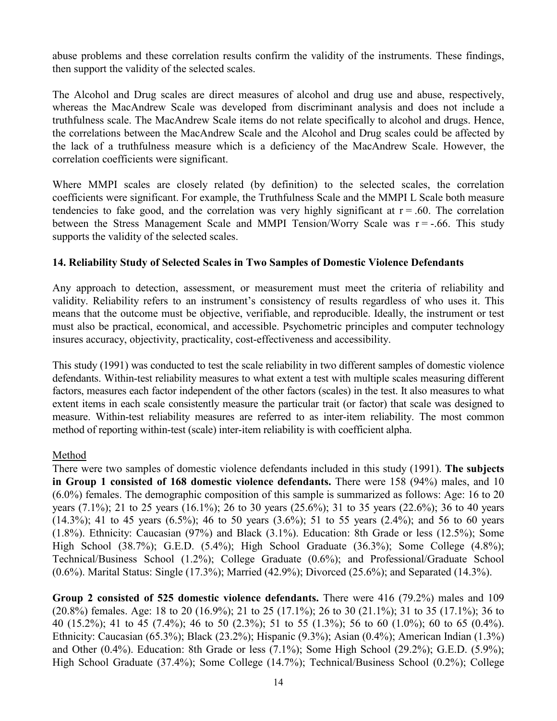abuse problems and these correlation results confirm the validity of the instruments. These findings, then support the validity of the selected scales.

The Alcohol and Drug scales are direct measures of alcohol and drug use and abuse, respectively, whereas the MacAndrew Scale was developed from discriminant analysis and does not include a truthfulness scale. The MacAndrew Scale items do not relate specifically to alcohol and drugs. Hence, the correlations between the MacAndrew Scale and the Alcohol and Drug scales could be affected by the lack of a truthfulness measure which is a deficiency of the MacAndrew Scale. However, the correlation coefficients were significant.

Where MMPI scales are closely related (by definition) to the selected scales, the correlation coefficients were significant. For example, the Truthfulness Scale and the MMPI L Scale both measure tendencies to fake good, and the correlation was very highly significant at  $r = .60$ . The correlation between the Stress Management Scale and MMPI Tension/Worry Scale was  $r = -0.66$ . This study supports the validity of the selected scales.

#### **14. Reliability Study of Selected Scales in Two Samples of Domestic Violence Defendants**

Any approach to detection, assessment, or measurement must meet the criteria of reliability and validity. Reliability refers to an instrument's consistency of results regardless of who uses it. This means that the outcome must be objective, verifiable, and reproducible. Ideally, the instrument or test must also be practical, economical, and accessible. Psychometric principles and computer technology insures accuracy, objectivity, practicality, cost-effectiveness and accessibility.

This study (1991) was conducted to test the scale reliability in two different samples of domestic violence defendants. Within-test reliability measures to what extent a test with multiple scales measuring different factors, measures each factor independent of the other factors (scales) in the test. It also measures to what extent items in each scale consistently measure the particular trait (or factor) that scale was designed to measure. Within-test reliability measures are referred to as inter-item reliability. The most common method of reporting within-test (scale) inter-item reliability is with coefficient alpha.

# Method

There were two samples of domestic violence defendants included in this study (1991). **The subjects in Group 1 consisted of 168 domestic violence defendants.** There were 158 (94%) males, and 10 (6.0%) females. The demographic composition of this sample is summarized as follows: Age: 16 to 20 years (7.1%); 21 to 25 years (16.1%); 26 to 30 years (25.6%); 31 to 35 years (22.6%); 36 to 40 years (14.3%); 41 to 45 years (6.5%); 46 to 50 years (3.6%); 51 to 55 years (2.4%); and 56 to 60 years (1.8%). Ethnicity: Caucasian (97%) and Black (3.1%). Education: 8th Grade or less (12.5%); Some High School (38.7%); G.E.D. (5.4%); High School Graduate (36.3%); Some College (4.8%); Technical/Business School (1.2%); College Graduate (0.6%); and Professional/Graduate School (0.6%). Marital Status: Single (17.3%); Married (42.9%); Divorced (25.6%); and Separated (14.3%).

**Group 2 consisted of 525 domestic violence defendants.** There were 416 (79.2%) males and 109 (20.8%) females. Age: 18 to 20 (16.9%); 21 to 25 (17.1%); 26 to 30 (21.1%); 31 to 35 (17.1%); 36 to 40 (15.2%); 41 to 45 (7.4%); 46 to 50 (2.3%); 51 to 55 (1.3%); 56 to 60 (1.0%); 60 to 65 (0.4%). Ethnicity: Caucasian (65.3%); Black (23.2%); Hispanic (9.3%); Asian (0.4%); American Indian (1.3%) and Other (0.4%). Education: 8th Grade or less (7.1%); Some High School (29.2%); G.E.D. (5.9%); High School Graduate (37.4%); Some College (14.7%); Technical/Business School (0.2%); College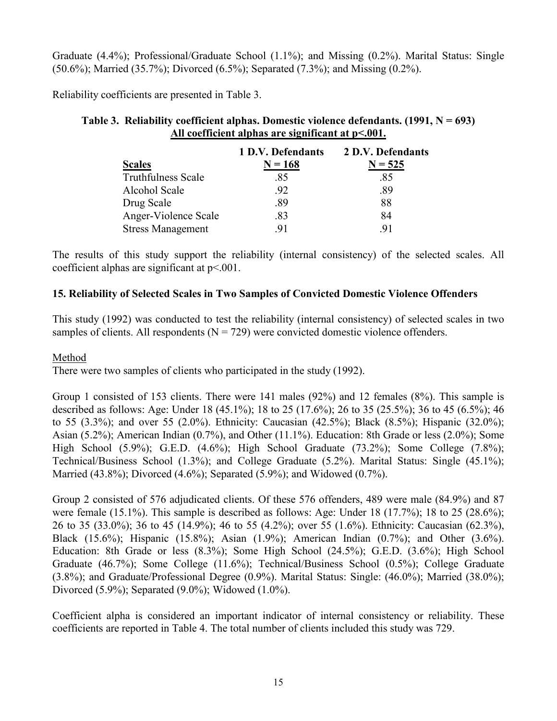Graduate (4.4%); Professional/Graduate School (1.1%); and Missing (0.2%). Marital Status: Single (50.6%); Married (35.7%); Divorced (6.5%); Separated (7.3%); and Missing (0.2%).

Reliability coefficients are presented in Table 3.

| Table 3. Reliability coefficient alphas. Domestic violence defendants. $(1991, N = 693)$ |
|------------------------------------------------------------------------------------------|
| All coefficient alphas are significant at $p<.001$ .                                     |

|                           | 1 D.V. Defendants | 2 D.V. Defendants |
|---------------------------|-------------------|-------------------|
| <b>Scales</b>             | $N = 168$         | $N = 525$         |
| <b>Truthfulness Scale</b> | .85               | .85               |
| Alcohol Scale             | .92               | .89               |
| Drug Scale                | .89               | 88                |
| Anger-Violence Scale      | .83               | 84                |
| <b>Stress Management</b>  | 91                | 91                |

The results of this study support the reliability (internal consistency) of the selected scales. All coefficient alphas are significant at p<.001.

#### **15. Reliability of Selected Scales in Two Samples of Convicted Domestic Violence Offenders**

This study (1992) was conducted to test the reliability (internal consistency) of selected scales in two samples of clients. All respondents  $(N = 729)$  were convicted domestic violence offenders.

#### Method

There were two samples of clients who participated in the study (1992).

Group 1 consisted of 153 clients. There were 141 males (92%) and 12 females (8%). This sample is described as follows: Age: Under 18 (45.1%); 18 to 25 (17.6%); 26 to 35 (25.5%); 36 to 45 (6.5%); 46 to 55 (3.3%); and over 55 (2.0%). Ethnicity: Caucasian (42.5%); Black (8.5%); Hispanic (32.0%); Asian (5.2%); American Indian (0.7%), and Other (11.1%). Education: 8th Grade or less (2.0%); Some High School (5.9%); G.E.D. (4.6%); High School Graduate (73.2%); Some College (7.8%); Technical/Business School (1.3%); and College Graduate (5.2%). Marital Status: Single (45.1%); Married (43.8%); Divorced (4.6%); Separated (5.9%); and Widowed (0.7%).

Group 2 consisted of 576 adjudicated clients. Of these 576 offenders, 489 were male (84.9%) and 87 were female (15.1%). This sample is described as follows: Age: Under 18 (17.7%); 18 to 25 (28.6%); 26 to 35 (33.0%); 36 to 45 (14.9%); 46 to 55 (4.2%); over 55 (1.6%). Ethnicity: Caucasian (62.3%), Black (15.6%); Hispanic (15.8%); Asian (1.9%); American Indian (0.7%); and Other (3.6%). Education: 8th Grade or less (8.3%); Some High School (24.5%); G.E.D. (3.6%); High School Graduate (46.7%); Some College (11.6%); Technical/Business School (0.5%); College Graduate (3.8%); and Graduate/Professional Degree (0.9%). Marital Status: Single: (46.0%); Married (38.0%); Divorced (5.9%); Separated (9.0%); Widowed (1.0%).

Coefficient alpha is considered an important indicator of internal consistency or reliability. These coefficients are reported in Table 4. The total number of clients included this study was 729.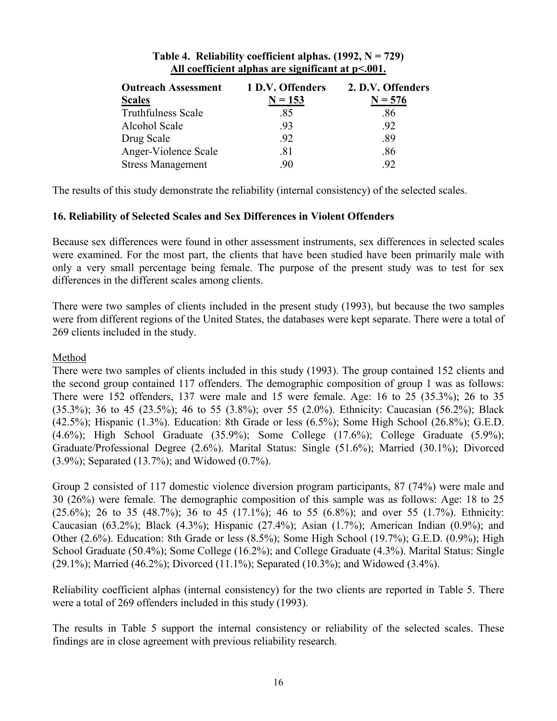| <b>Outreach Assessment</b> | 1 D.V. Offenders | 2. D.V. Offenders |
|----------------------------|------------------|-------------------|
| <b>Scales</b>              | $N = 153$        | $N = 576$         |
| <b>Truthfulness Scale</b>  | .85              | .86               |
| Alcohol Scale              | .93              | .92               |
| Drug Scale                 | .92              | .89               |
| Anger-Violence Scale       | .81              | .86               |
| <b>Stress Management</b>   | 90               | 92                |

#### **Table 4. Reliability coefficient alphas. (1992, N = 729) All coefficient alphas are significant at p<.001.**

The results of this study demonstrate the reliability (internal consistency) of the selected scales.

#### **16. Reliability of Selected Scales and Sex Differences in Violent Offenders**

Because sex differences were found in other assessment instruments, sex differences in selected scales were examined. For the most part, the clients that have been studied have been primarily male with only a very small percentage being female. The purpose of the present study was to test for sex differences in the different scales among clients.

There were two samples of clients included in the present study (1993), but because the two samples were from different regions of the United States, the databases were kept separate. There were a total of 269 clients included in the study.

#### Method

There were two samples of clients included in this study (1993). The group contained 152 clients and the second group contained 117 offenders. The demographic composition of group 1 was as follows: There were 152 offenders, 137 were male and 15 were female. Age: 16 to 25 (35.3%); 26 to 35 (35.3%); 36 to 45 (23.5%); 46 to 55 (3.8%); over 55 (2.0%). Ethnicity: Caucasian (56.2%); Black (42.5%); Hispanic (1.3%). Education: 8th Grade or less (6.5%); Some High School (26.8%); G.E.D. (4.6%); High School Graduate (35.9%); Some College (17.6%); College Graduate (5.9%); Graduate/Professional Degree (2.6%). Marital Status: Single (51.6%); Married (30.1%); Divorced (3.9%); Separated (13.7%); and Widowed (0.7%).

Group 2 consisted of 117 domestic violence diversion program participants, 87 (74%) were male and 30 (26%) were female. The demographic composition of this sample was as follows: Age: 18 to 25  $(25.6\%)$ ; 26 to 35 (48.7%); 36 to 45 (17.1%); 46 to 55 (6.8%); and over 55 (1.7%). Ethnicity: Caucasian (63.2%); Black (4.3%); Hispanic (27.4%); Asian (1.7%); American Indian (0.9%); and Other (2.6%). Education: 8th Grade or less (8.5%); Some High School (19.7%); G.E.D. (0.9%); High School Graduate (50.4%); Some College (16.2%); and College Graduate (4.3%). Marital Status: Single (29.1%); Married (46.2%); Divorced (11.1%); Separated (10.3%); and Widowed (3.4%).

Reliability coefficient alphas (internal consistency) for the two clients are reported in Table 5. There were a total of 269 offenders included in this study (1993).

The results in Table 5 support the internal consistency or reliability of the selected scales. These findings are in close agreement with previous reliability research.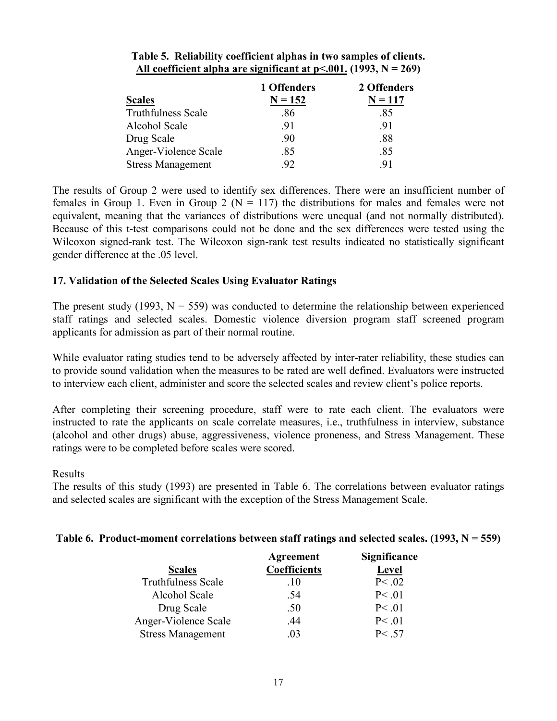|                           | 1 Offenders | 2 Offenders |
|---------------------------|-------------|-------------|
| <b>Scales</b>             | $N = 152$   | $N = 117$   |
| <b>Truthfulness Scale</b> | .86         | .85         |
| Alcohol Scale             | -91         | -91         |
| Drug Scale                | .90         | .88         |
| Anger-Violence Scale      | .85         | .85         |
| <b>Stress Management</b>  | .92         | -91         |

#### **Table 5. Reliability coefficient alphas in two samples of clients.**  All coefficient alpha are significant at  $p<.001$ . (1993,  $N = 269$ )

The results of Group 2 were used to identify sex differences. There were an insufficient number of females in Group 1. Even in Group 2 ( $N = 117$ ) the distributions for males and females were not equivalent, meaning that the variances of distributions were unequal (and not normally distributed). Because of this t-test comparisons could not be done and the sex differences were tested using the Wilcoxon signed-rank test. The Wilcoxon sign-rank test results indicated no statistically significant gender difference at the .05 level.

# **17. Validation of the Selected Scales Using Evaluator Ratings**

The present study (1993,  $N = 559$ ) was conducted to determine the relationship between experienced staff ratings and selected scales. Domestic violence diversion program staff screened program applicants for admission as part of their normal routine.

While evaluator rating studies tend to be adversely affected by inter-rater reliability, these studies can to provide sound validation when the measures to be rated are well defined. Evaluators were instructed to interview each client, administer and score the selected scales and review client's police reports.

After completing their screening procedure, staff were to rate each client. The evaluators were instructed to rate the applicants on scale correlate measures, i.e., truthfulness in interview, substance (alcohol and other drugs) abuse, aggressiveness, violence proneness, and Stress Management. These ratings were to be completed before scales were scored.

#### Results

The results of this study (1993) are presented in Table 6. The correlations between evaluator ratings and selected scales are significant with the exception of the Stress Management Scale.

# **Table 6. Product-moment correlations between staff ratings and selected scales. (1993, N = 559)**

|                           | Agreement           | <b>Significance</b> |
|---------------------------|---------------------|---------------------|
| <b>Scales</b>             | <b>Coefficients</b> | <b>Level</b>        |
| <b>Truthfulness Scale</b> | .10                 | P < .02             |
| Alcohol Scale             | .54                 | P < .01             |
| Drug Scale                | .50                 | P < .01             |
| Anger-Violence Scale      | .44                 | P < .01             |
| <b>Stress Management</b>  | 03                  | P < .57             |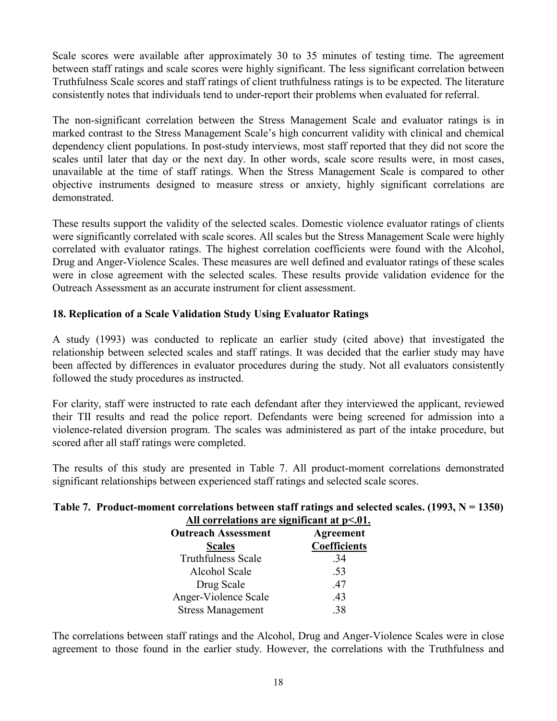Scale scores were available after approximately 30 to 35 minutes of testing time. The agreement between staff ratings and scale scores were highly significant. The less significant correlation between Truthfulness Scale scores and staff ratings of client truthfulness ratings is to be expected. The literature consistently notes that individuals tend to under-report their problems when evaluated for referral.

The non-significant correlation between the Stress Management Scale and evaluator ratings is in marked contrast to the Stress Management Scale's high concurrent validity with clinical and chemical dependency client populations. In post-study interviews, most staff reported that they did not score the scales until later that day or the next day. In other words, scale score results were, in most cases, unavailable at the time of staff ratings. When the Stress Management Scale is compared to other objective instruments designed to measure stress or anxiety, highly significant correlations are demonstrated.

These results support the validity of the selected scales. Domestic violence evaluator ratings of clients were significantly correlated with scale scores. All scales but the Stress Management Scale were highly correlated with evaluator ratings. The highest correlation coefficients were found with the Alcohol, Drug and Anger-Violence Scales. These measures are well defined and evaluator ratings of these scales were in close agreement with the selected scales. These results provide validation evidence for the Outreach Assessment as an accurate instrument for client assessment.

# **18. Replication of a Scale Validation Study Using Evaluator Ratings**

A study (1993) was conducted to replicate an earlier study (cited above) that investigated the relationship between selected scales and staff ratings. It was decided that the earlier study may have been affected by differences in evaluator procedures during the study. Not all evaluators consistently followed the study procedures as instructed.

For clarity, staff were instructed to rate each defendant after they interviewed the applicant, reviewed their TII results and read the police report. Defendants were being screened for admission into a violence-related diversion program. The scales was administered as part of the intake procedure, but scored after all staff ratings were completed.

The results of this study are presented in Table 7. All product-moment correlations demonstrated significant relationships between experienced staff ratings and selected scale scores.

#### **Table 7. Product-moment correlations between staff ratings and selected scales. (1993, N = 1350) All correlations are significant at p<.01.**

| <b>Outreach Assessment</b><br><b>Scales</b> | Agreement<br>Coefficients |
|---------------------------------------------|---------------------------|
| <b>Truthfulness Scale</b>                   | .34                       |
| Alcohol Scale                               | .53                       |
| Drug Scale                                  | .47                       |
| Anger-Violence Scale                        | .43                       |
| <b>Stress Management</b>                    | 38                        |

The correlations between staff ratings and the Alcohol, Drug and Anger-Violence Scales were in close agreement to those found in the earlier study. However, the correlations with the Truthfulness and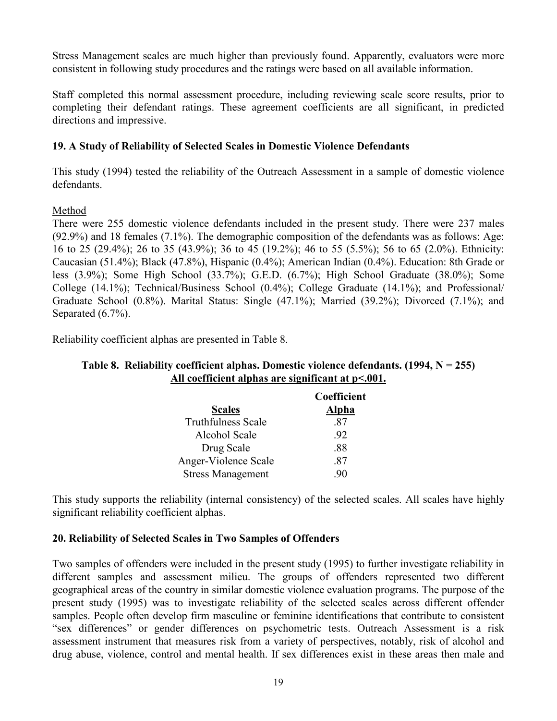Stress Management scales are much higher than previously found. Apparently, evaluators were more consistent in following study procedures and the ratings were based on all available information.

Staff completed this normal assessment procedure, including reviewing scale score results, prior to completing their defendant ratings. These agreement coefficients are all significant, in predicted directions and impressive.

# **19. A Study of Reliability of Selected Scales in Domestic Violence Defendants**

This study (1994) tested the reliability of the Outreach Assessment in a sample of domestic violence defendants.

# Method

There were 255 domestic violence defendants included in the present study. There were 237 males (92.9%) and 18 females (7.1%). The demographic composition of the defendants was as follows: Age: 16 to 25 (29.4%); 26 to 35 (43.9%); 36 to 45 (19.2%); 46 to 55 (5.5%); 56 to 65 (2.0%). Ethnicity: Caucasian (51.4%); Black (47.8%), Hispanic (0.4%); American Indian (0.4%). Education: 8th Grade or less (3.9%); Some High School (33.7%); G.E.D. (6.7%); High School Graduate (38.0%); Some College (14.1%); Technical/Business School (0.4%); College Graduate (14.1%); and Professional/ Graduate School (0.8%). Marital Status: Single (47.1%); Married (39.2%); Divorced (7.1%); and Separated  $(6.7\%)$ .

Reliability coefficient alphas are presented in Table 8.

#### **Table 8. Reliability coefficient alphas. Domestic violence defendants. (1994, N = 255) All coefficient alphas are significant at p<.001.**

|                           | Coefficient |
|---------------------------|-------------|
| <b>Scales</b>             | Alpha       |
| <b>Truthfulness Scale</b> | -87         |
| Alcohol Scale             | -92         |
| Drug Scale                | -88         |
| Anger-Violence Scale      | -87         |
| <b>Stress Management</b>  | -90         |

This study supports the reliability (internal consistency) of the selected scales. All scales have highly significant reliability coefficient alphas.

# **20. Reliability of Selected Scales in Two Samples of Offenders**

Two samples of offenders were included in the present study (1995) to further investigate reliability in different samples and assessment milieu. The groups of offenders represented two different geographical areas of the country in similar domestic violence evaluation programs. The purpose of the present study (1995) was to investigate reliability of the selected scales across different offender samples. People often develop firm masculine or feminine identifications that contribute to consistent "sex differences" or gender differences on psychometric tests. Outreach Assessment is a risk assessment instrument that measures risk from a variety of perspectives, notably, risk of alcohol and drug abuse, violence, control and mental health. If sex differences exist in these areas then male and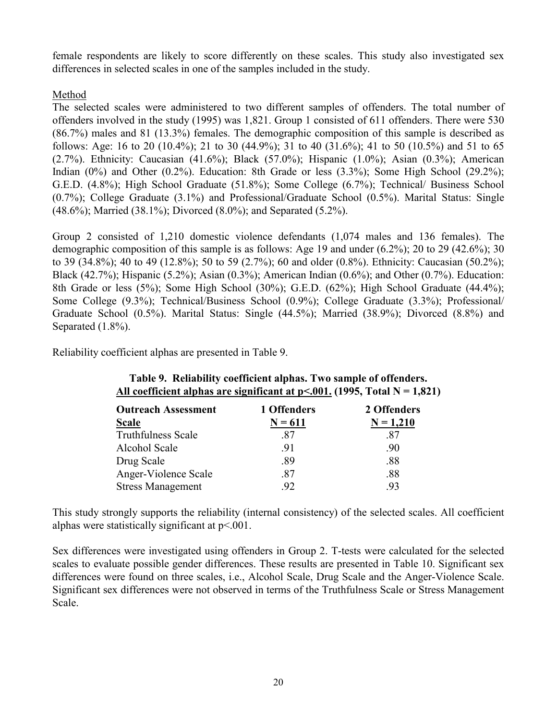female respondents are likely to score differently on these scales. This study also investigated sex differences in selected scales in one of the samples included in the study.

# Method

The selected scales were administered to two different samples of offenders. The total number of offenders involved in the study (1995) was 1,821. Group 1 consisted of 611 offenders. There were 530 (86.7%) males and 81 (13.3%) females. The demographic composition of this sample is described as follows: Age: 16 to 20 (10.4%); 21 to 30 (44.9%); 31 to 40 (31.6%); 41 to 50 (10.5%) and 51 to 65 (2.7%). Ethnicity: Caucasian (41.6%); Black (57.0%); Hispanic (1.0%); Asian (0.3%); American Indian  $(0\%)$  and Other  $(0.2\%)$ . Education: 8th Grade or less  $(3.3\%)$ ; Some High School  $(29.2\%)$ ; G.E.D. (4.8%); High School Graduate (51.8%); Some College (6.7%); Technical/ Business School (0.7%); College Graduate (3.1%) and Professional/Graduate School (0.5%). Marital Status: Single (48.6%); Married (38.1%); Divorced (8.0%); and Separated (5.2%).

Group 2 consisted of 1,210 domestic violence defendants (1,074 males and 136 females). The demographic composition of this sample is as follows: Age 19 and under (6.2%); 20 to 29 (42.6%); 30 to 39 (34.8%); 40 to 49 (12.8%); 50 to 59 (2.7%); 60 and older (0.8%). Ethnicity: Caucasian (50.2%); Black (42.7%); Hispanic (5.2%); Asian (0.3%); American Indian (0.6%); and Other (0.7%). Education: 8th Grade or less (5%); Some High School (30%); G.E.D. (62%); High School Graduate (44.4%); Some College (9.3%); Technical/Business School (0.9%); College Graduate (3.3%); Professional/ Graduate School (0.5%). Marital Status: Single (44.5%); Married (38.9%); Divorced (8.8%) and Separated  $(1.8\%)$ .

Reliability coefficient alphas are presented in Table 9.

| <b>Outreach Assessment</b> | 1 Offenders | 2 Offenders |
|----------------------------|-------------|-------------|
| <b>Scale</b>               | $N = 611$   | $N = 1,210$ |
| <b>Truthfulness Scale</b>  | -87         | .87         |
| Alcohol Scale              | .91         | .90         |
| Drug Scale                 | .89         | .88         |
| Anger-Violence Scale       | .87         | .88         |
| <b>Stress Management</b>   | 92          | .93         |

# **Table 9. Reliability coefficient alphas. Two sample of offenders.**  All coefficient alphas are significant at  $p<.001$ . (1995, Total N = 1,821)

This study strongly supports the reliability (internal consistency) of the selected scales. All coefficient alphas were statistically significant at  $p<.001$ .

Sex differences were investigated using offenders in Group 2. T-tests were calculated for the selected scales to evaluate possible gender differences. These results are presented in Table 10. Significant sex differences were found on three scales, i.e., Alcohol Scale, Drug Scale and the Anger-Violence Scale. Significant sex differences were not observed in terms of the Truthfulness Scale or Stress Management Scale.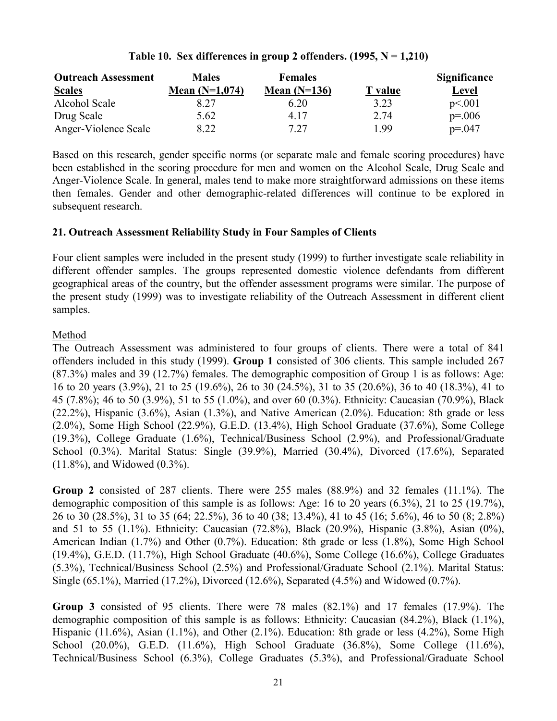# **Table 10. Sex differences in group 2 offenders. (1995, N = 1,210)**

| <b>Outreach Assessment</b> | <b>Males</b>     | <b>Females</b> |                | Significance |
|----------------------------|------------------|----------------|----------------|--------------|
| <b>Scales</b>              | Mean $(N=1,074)$ | Mean $(N=136)$ | <b>T</b> value | Level        |
| Alcohol Scale              | 8.27             | 6.20           | 3.23           | p<.001       |
| Drug Scale                 | 5.62             | 4 17           | 2.74           | $p = 0.006$  |
| Anger-Violence Scale       | 8.22             | 7.27           | 1.99           | $p = 0.047$  |

Based on this research, gender specific norms (or separate male and female scoring procedures) have been established in the scoring procedure for men and women on the Alcohol Scale, Drug Scale and Anger-Violence Scale. In general, males tend to make more straightforward admissions on these items then females. Gender and other demographic-related differences will continue to be explored in subsequent research.

# **21. Outreach Assessment Reliability Study in Four Samples of Clients**

Four client samples were included in the present study (1999) to further investigate scale reliability in different offender samples. The groups represented domestic violence defendants from different geographical areas of the country, but the offender assessment programs were similar. The purpose of the present study (1999) was to investigate reliability of the Outreach Assessment in different client samples.

# Method

The Outreach Assessment was administered to four groups of clients. There were a total of 841 offenders included in this study (1999). **Group 1** consisted of 306 clients. This sample included 267 (87.3%) males and 39 (12.7%) females. The demographic composition of Group 1 is as follows: Age: 16 to 20 years (3.9%), 21 to 25 (19.6%), 26 to 30 (24.5%), 31 to 35 (20.6%), 36 to 40 (18.3%), 41 to 45 (7.8%); 46 to 50 (3.9%), 51 to 55 (1.0%), and over 60 (0.3%). Ethnicity: Caucasian (70.9%), Black (22.2%), Hispanic (3.6%), Asian (1.3%), and Native American (2.0%). Education: 8th grade or less (2.0%), Some High School (22.9%), G.E.D. (13.4%), High School Graduate (37.6%), Some College (19.3%), College Graduate (1.6%), Technical/Business School (2.9%), and Professional/Graduate School (0.3%). Marital Status: Single (39.9%), Married (30.4%), Divorced (17.6%), Separated (11.8%), and Widowed (0.3%).

**Group 2** consisted of 287 clients. There were 255 males (88.9%) and 32 females (11.1%). The demographic composition of this sample is as follows: Age: 16 to 20 years (6.3%), 21 to 25 (19.7%), 26 to 30 (28.5%), 31 to 35 (64; 22.5%), 36 to 40 (38; 13.4%), 41 to 45 (16; 5.6%), 46 to 50 (8; 2.8%) and 51 to 55 (1.1%). Ethnicity: Caucasian (72.8%), Black (20.9%), Hispanic (3.8%), Asian (0%), American Indian (1.7%) and Other (0.7%). Education: 8th grade or less (1.8%), Some High School (19.4%), G.E.D. (11.7%), High School Graduate (40.6%), Some College (16.6%), College Graduates (5.3%), Technical/Business School (2.5%) and Professional/Graduate School (2.1%). Marital Status: Single (65.1%), Married (17.2%), Divorced (12.6%), Separated (4.5%) and Widowed (0.7%).

**Group 3** consisted of 95 clients. There were 78 males (82.1%) and 17 females (17.9%). The demographic composition of this sample is as follows: Ethnicity: Caucasian (84.2%), Black (1.1%), Hispanic (11.6%), Asian (1.1%), and Other (2.1%). Education: 8th grade or less (4.2%), Some High School (20.0%), G.E.D. (11.6%), High School Graduate (36.8%), Some College (11.6%), Technical/Business School (6.3%), College Graduates (5.3%), and Professional/Graduate School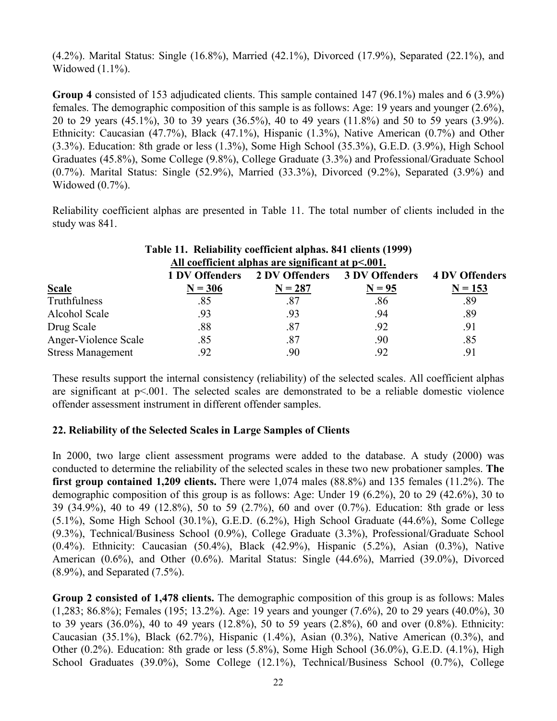(4.2%). Marital Status: Single (16.8%), Married (42.1%), Divorced (17.9%), Separated (22.1%), and Widowed (1.1%).

**Group 4** consisted of 153 adjudicated clients. This sample contained 147 (96.1%) males and 6 (3.9%) females. The demographic composition of this sample is as follows: Age: 19 years and younger (2.6%), 20 to 29 years (45.1%), 30 to 39 years (36.5%), 40 to 49 years (11.8%) and 50 to 59 years (3.9%). Ethnicity: Caucasian (47.7%), Black (47.1%), Hispanic (1.3%), Native American (0.7%) and Other (3.3%). Education: 8th grade or less (1.3%), Some High School (35.3%), G.E.D. (3.9%), High School Graduates (45.8%), Some College (9.8%), College Graduate (3.3%) and Professional/Graduate School (0.7%). Marital Status: Single (52.9%), Married (33.3%), Divorced (9.2%), Separated (3.9%) and Widowed (0.7%).

Reliability coefficient alphas are presented in Table 11. The total number of clients included in the study was 841.

|                          | Table 11. Reliability coefficient alphas. 841 clients (1999) |                                                      |          |                       |
|--------------------------|--------------------------------------------------------------|------------------------------------------------------|----------|-----------------------|
|                          |                                                              | All coefficient alphas are significant at $p<.001$ . |          |                       |
|                          |                                                              | 1 DV Offenders 2 DV Offenders 3 DV Offenders         |          | <b>4 DV Offenders</b> |
| <b>Scale</b>             | $N = 306$                                                    | $N = 287$                                            | $N = 95$ | $N = 153$             |
| Truthfulness             | .85                                                          | .87                                                  | .86      | .89                   |
| Alcohol Scale            | .93                                                          | .93                                                  | .94      | .89                   |
| Drug Scale               | .88                                                          | .87                                                  | .92      | .91                   |
| Anger-Violence Scale     | .85                                                          | .87                                                  | .90      | .85                   |
| <b>Stress Management</b> | .92                                                          | .90                                                  | .92      | .91                   |

These results support the internal consistency (reliability) of the selected scales. All coefficient alphas are significant at  $p<.001$ . The selected scales are demonstrated to be a reliable domestic violence offender assessment instrument in different offender samples.

# **22. Reliability of the Selected Scales in Large Samples of Clients**

In 2000, two large client assessment programs were added to the database. A study (2000) was conducted to determine the reliability of the selected scales in these two new probationer samples. **The first group contained 1,209 clients.** There were 1,074 males (88.8%) and 135 females (11.2%). The demographic composition of this group is as follows: Age: Under 19 (6.2%), 20 to 29 (42.6%), 30 to 39 (34.9%), 40 to 49 (12.8%), 50 to 59 (2.7%), 60 and over (0.7%). Education: 8th grade or less (5.1%), Some High School (30.1%), G.E.D. (6.2%), High School Graduate (44.6%), Some College (9.3%), Technical/Business School (0.9%), College Graduate (3.3%), Professional/Graduate School (0.4%). Ethnicity: Caucasian (50.4%), Black (42.9%), Hispanic (5.2%), Asian (0.3%), Native American (0.6%), and Other (0.6%). Marital Status: Single (44.6%), Married (39.0%), Divorced (8.9%), and Separated (7.5%).

**Group 2 consisted of 1,478 clients.** The demographic composition of this group is as follows: Males (1,283; 86.8%); Females (195; 13.2%). Age: 19 years and younger (7.6%), 20 to 29 years (40.0%), 30 to 39 years (36.0%), 40 to 49 years (12.8%), 50 to 59 years (2.8%), 60 and over (0.8%). Ethnicity: Caucasian (35.1%), Black (62.7%), Hispanic (1.4%), Asian (0.3%), Native American (0.3%), and Other (0.2%). Education: 8th grade or less (5.8%), Some High School (36.0%), G.E.D. (4.1%), High School Graduates (39.0%), Some College (12.1%), Technical/Business School (0.7%), College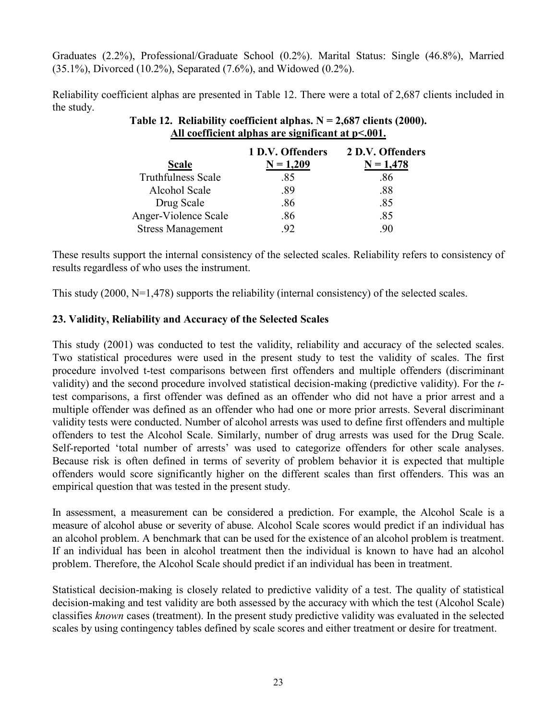Graduates (2.2%), Professional/Graduate School (0.2%). Marital Status: Single (46.8%), Married (35.1%), Divorced (10.2%), Separated (7.6%), and Widowed (0.2%).

Reliability coefficient alphas are presented in Table 12. There were a total of 2,687 clients included in the study.

|                           | 1 D.V. Offenders | 2 D.V. Offenders |
|---------------------------|------------------|------------------|
| <b>Scale</b>              | $N = 1,209$      | $N = 1,478$      |
| <b>Truthfulness Scale</b> | .85              | .86              |
| Alcohol Scale             | .89              | .88              |
| Drug Scale                | .86              | .85              |
| Anger-Violence Scale      | .86              | .85              |
| <b>Stress Management</b>  | 92               | 90               |

**Table 12. Reliability coefficient alphas. N = 2,687 clients (2000). All coefficient alphas are significant at p<.001.**

These results support the internal consistency of the selected scales. Reliability refers to consistency of results regardless of who uses the instrument.

This study (2000, N=1,478) supports the reliability (internal consistency) of the selected scales.

# **23. Validity, Reliability and Accuracy of the Selected Scales**

This study (2001) was conducted to test the validity, reliability and accuracy of the selected scales. Two statistical procedures were used in the present study to test the validity of scales. The first procedure involved t-test comparisons between first offenders and multiple offenders (discriminant validity) and the second procedure involved statistical decision-making (predictive validity). For the *t*test comparisons, a first offender was defined as an offender who did not have a prior arrest and a multiple offender was defined as an offender who had one or more prior arrests. Several discriminant validity tests were conducted. Number of alcohol arrests was used to define first offenders and multiple offenders to test the Alcohol Scale. Similarly, number of drug arrests was used for the Drug Scale. Self-reported 'total number of arrests' was used to categorize offenders for other scale analyses. Because risk is often defined in terms of severity of problem behavior it is expected that multiple offenders would score significantly higher on the different scales than first offenders. This was an empirical question that was tested in the present study.

In assessment, a measurement can be considered a prediction. For example, the Alcohol Scale is a measure of alcohol abuse or severity of abuse. Alcohol Scale scores would predict if an individual has an alcohol problem. A benchmark that can be used for the existence of an alcohol problem is treatment. If an individual has been in alcohol treatment then the individual is known to have had an alcohol problem. Therefore, the Alcohol Scale should predict if an individual has been in treatment.

Statistical decision-making is closely related to predictive validity of a test. The quality of statistical decision-making and test validity are both assessed by the accuracy with which the test (Alcohol Scale) classifies *known* cases (treatment). In the present study predictive validity was evaluated in the selected scales by using contingency tables defined by scale scores and either treatment or desire for treatment.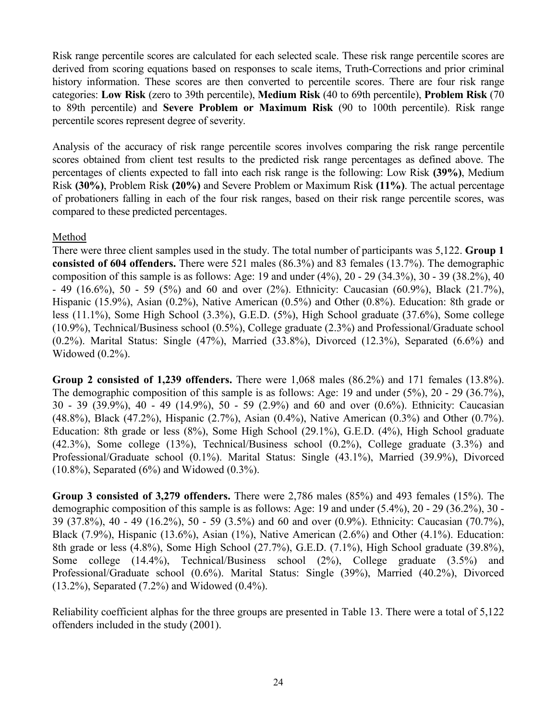Risk range percentile scores are calculated for each selected scale. These risk range percentile scores are derived from scoring equations based on responses to scale items, Truth-Corrections and prior criminal history information. These scores are then converted to percentile scores. There are four risk range categories: **Low Risk** (zero to 39th percentile), **Medium Risk** (40 to 69th percentile), **Problem Risk** (70 to 89th percentile) and **Severe Problem or Maximum Risk** (90 to 100th percentile). Risk range percentile scores represent degree of severity.

Analysis of the accuracy of risk range percentile scores involves comparing the risk range percentile scores obtained from client test results to the predicted risk range percentages as defined above. The percentages of clients expected to fall into each risk range is the following: Low Risk **(39%)**, Medium Risk **(30%)**, Problem Risk **(20%)** and Severe Problem or Maximum Risk **(11%)**. The actual percentage of probationers falling in each of the four risk ranges, based on their risk range percentile scores, was compared to these predicted percentages.

#### Method

There were three client samples used in the study. The total number of participants was 5,122. **Group 1 consisted of 604 offenders.** There were 521 males (86.3%) and 83 females (13.7%). The demographic composition of this sample is as follows: Age: 19 and under (4%), 20 - 29 (34.3%), 30 - 39 (38.2%), 40 - 49 (16.6%), 50 - 59 (5%) and 60 and over (2%). Ethnicity: Caucasian (60.9%), Black (21.7%), Hispanic (15.9%), Asian (0.2%), Native American (0.5%) and Other (0.8%). Education: 8th grade or less (11.1%), Some High School (3.3%), G.E.D. (5%), High School graduate (37.6%), Some college (10.9%), Technical/Business school (0.5%), College graduate (2.3%) and Professional/Graduate school (0.2%). Marital Status: Single (47%), Married (33.8%), Divorced (12.3%), Separated (6.6%) and Widowed (0.2%).

**Group 2 consisted of 1,239 offenders.** There were 1,068 males (86.2%) and 171 females (13.8%). The demographic composition of this sample is as follows: Age: 19 and under (5%), 20 - 29 (36.7%), 30 - 39 (39.9%), 40 - 49 (14.9%), 50 - 59 (2.9%) and 60 and over (0.6%). Ethnicity: Caucasian (48.8%), Black (47.2%), Hispanic (2.7%), Asian (0.4%), Native American (0.3%) and Other (0.7%). Education: 8th grade or less (8%), Some High School (29.1%), G.E.D. (4%), High School graduate (42.3%), Some college (13%), Technical/Business school (0.2%), College graduate (3.3%) and Professional/Graduate school (0.1%). Marital Status: Single (43.1%), Married (39.9%), Divorced  $(10.8\%)$ , Separated  $(6\%)$  and Widowed  $(0.3\%)$ .

**Group 3 consisted of 3,279 offenders.** There were 2,786 males (85%) and 493 females (15%). The demographic composition of this sample is as follows: Age: 19 and under (5.4%), 20 - 29 (36.2%), 30 - 39 (37.8%), 40 - 49 (16.2%), 50 - 59 (3.5%) and 60 and over (0.9%). Ethnicity: Caucasian (70.7%), Black (7.9%), Hispanic (13.6%), Asian (1%), Native American (2.6%) and Other (4.1%). Education: 8th grade or less (4.8%), Some High School (27.7%), G.E.D. (7.1%), High School graduate (39.8%), Some college (14.4%), Technical/Business school (2%), College graduate (3.5%) and Professional/Graduate school (0.6%). Marital Status: Single (39%), Married (40.2%), Divorced (13.2%), Separated (7.2%) and Widowed (0.4%).

Reliability coefficient alphas for the three groups are presented in Table 13. There were a total of 5,122 offenders included in the study (2001).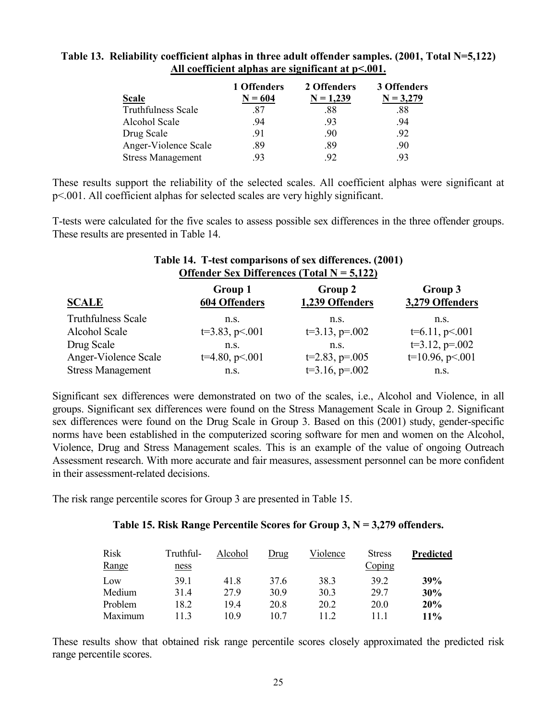#### **Table 13. Reliability coefficient alphas in three adult offender samples. (2001, Total N=5,122) All coefficient alphas are significant at p<.001.**

|                           | 1 Offenders | 2 Offenders | 3 Offenders |
|---------------------------|-------------|-------------|-------------|
| Scale                     | $N = 604$   | $N = 1,239$ | $N = 3,279$ |
| <b>Truthfulness Scale</b> | .87         | .88         | .88         |
| Alcohol Scale             | .94         | .93         | .94         |
| Drug Scale                | .91         | .90         | 92          |
| Anger-Violence Scale      | .89         | .89         | .90         |
| <b>Stress Management</b>  | 93          | 92          | 93          |

These results support the reliability of the selected scales. All coefficient alphas were significant at p<.001. All coefficient alphas for selected scales are very highly significant.

T-tests were calculated for the five scales to assess possible sex differences in the three offender groups. These results are presented in Table 14.

**Table 14. T-test comparisons of sex differences. (2001)** 

| Table 14. T-iest comparisons of sex unfertiles. (2001)<br><b>Offender Sex Differences (Total N = 5,122)</b> |                                 |                            |                            |  |  |
|-------------------------------------------------------------------------------------------------------------|---------------------------------|----------------------------|----------------------------|--|--|
| <b>SCALE</b>                                                                                                | Group 1<br><b>604 Offenders</b> | Group 2<br>1,239 Offenders | Group 3<br>3,279 Offenders |  |  |
| <b>Truthfulness Scale</b>                                                                                   | n.s.                            | n.s.                       | n.s.                       |  |  |
| Alcohol Scale                                                                                               | $t=3.83, p<.001$                | $t=3.13$ , $p=.002$        | $t=6.11, p<.001$           |  |  |
| Drug Scale                                                                                                  | n.s.                            | n.s.                       | $t=3.12$ , $p=.002$        |  |  |
| Anger-Violence Scale                                                                                        | $t=4.80, p<.001$                | $t=2.83$ , $p=.005$        | $t=10.96$ , $p<.001$       |  |  |
| <b>Stress Management</b>                                                                                    | n.S.                            | $t=3.16$ , $p=.002$        | n.S.                       |  |  |

Significant sex differences were demonstrated on two of the scales, i.e., Alcohol and Violence, in all groups. Significant sex differences were found on the Stress Management Scale in Group 2. Significant sex differences were found on the Drug Scale in Group 3. Based on this (2001) study, gender-specific norms have been established in the computerized scoring software for men and women on the Alcohol, Violence, Drug and Stress Management scales. This is an example of the value of ongoing Outreach Assessment research. With more accurate and fair measures, assessment personnel can be more confident in their assessment-related decisions.

The risk range percentile scores for Group 3 are presented in Table 15.

#### **Table 15. Risk Range Percentile Scores for Group 3, N = 3,279 offenders.**

| <b>Risk</b><br>Range | Truthful-<br><u>ness</u> | Alcohol | Drug | Violence | <b>Stress</b><br>Coping | Predicted |
|----------------------|--------------------------|---------|------|----------|-------------------------|-----------|
| Low                  | 391                      | 41.8    | 37.6 | 38.3     | 39.2                    | 39%       |
| Medium               | 31.4                     | 27.9    | 30.9 | 30.3     | 29.7                    | 30%       |
| Problem              | 18.2                     | 19.4    | 20.8 | 20.2     | 20.0                    | 20%       |
| Maximum              | 113                      | 109     | 10 7 | 112      | 11 1                    | $11\%$    |

These results show that obtained risk range percentile scores closely approximated the predicted risk range percentile scores.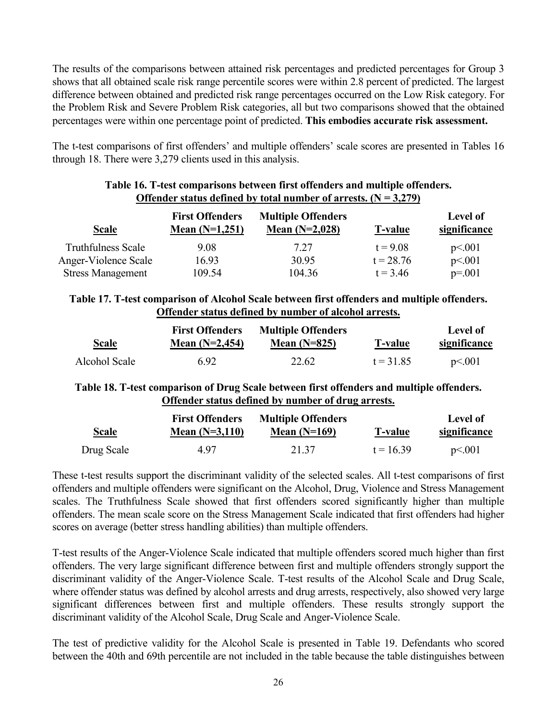The results of the comparisons between attained risk percentages and predicted percentages for Group 3 shows that all obtained scale risk range percentile scores were within 2.8 percent of predicted. The largest difference between obtained and predicted risk range percentages occurred on the Low Risk category. For the Problem Risk and Severe Problem Risk categories, all but two comparisons showed that the obtained percentages were within one percentage point of predicted. **This embodies accurate risk assessment.**

The t-test comparisons of first offenders' and multiple offenders' scale scores are presented in Tables 16 through 18. There were 3,279 clients used in this analysis.

|                           |                                            | O HUMUL DURUMD GUIHIUG O I TOURI HUHIDUL OL BITTUDUDI (1 1 |                |                                 |
|---------------------------|--------------------------------------------|------------------------------------------------------------|----------------|---------------------------------|
| <b>Scale</b>              | <b>First Offenders</b><br>Mean $(N=1,251)$ | <b>Multiple Offenders</b><br>Mean $(N=2,028)$              | <b>T-value</b> | <b>Level of</b><br>significance |
| <b>Truthfulness Scale</b> | 9.08                                       | 7.27                                                       | $t = 9.08$     | p<.001                          |
| Anger-Violence Scale      | 16.93                                      | 30.95                                                      | $t = 28.76$    | p<.001                          |
| <b>Stress Management</b>  | 109.54                                     | 104.36                                                     | $t = 3.46$     | $p=.001$                        |

# **Table 16. T-test comparisons between first offenders and multiple offenders. Offender status defined by total number of arrests.**  $(N = 3,279)$

# **Table 17. T-test comparison of Alcohol Scale between first offenders and multiple offenders. Offender status defined by number of alcohol arrests.**

| <u>Scale</u>  | <b>First Offenders</b><br>Mean $(N=2,454)$ | <b>Multiple Offenders</b><br>Mean $(N=825)$ | <u>T-value</u> | Level of<br><u>significance</u> |
|---------------|--------------------------------------------|---------------------------------------------|----------------|---------------------------------|
| Alcohol Scale | 6.92                                       | 22.62                                       | $t = 31.85$    | p<.001                          |

# **Table 18. T-test comparison of Drug Scale between first offenders and multiple offenders. Offender status defined by number of drug arrests.**

| <u>Scale</u> | <b>First Offenders</b><br>Mean $(N=3,110)$ | <b>Multiple Offenders</b><br>Mean $(N=169)$ | <b>T-value</b> | Level of<br>significance |
|--------------|--------------------------------------------|---------------------------------------------|----------------|--------------------------|
| Drug Scale   | 4 97                                       | 21.37                                       | $t = 1639$     | p<.001                   |

These t-test results support the discriminant validity of the selected scales. All t-test comparisons of first offenders and multiple offenders were significant on the Alcohol, Drug, Violence and Stress Management scales. The Truthfulness Scale showed that first offenders scored significantly higher than multiple offenders. The mean scale score on the Stress Management Scale indicated that first offenders had higher scores on average (better stress handling abilities) than multiple offenders.

T-test results of the Anger-Violence Scale indicated that multiple offenders scored much higher than first offenders. The very large significant difference between first and multiple offenders strongly support the discriminant validity of the Anger-Violence Scale. T-test results of the Alcohol Scale and Drug Scale, where offender status was defined by alcohol arrests and drug arrests, respectively, also showed very large significant differences between first and multiple offenders. These results strongly support the discriminant validity of the Alcohol Scale, Drug Scale and Anger-Violence Scale.

The test of predictive validity for the Alcohol Scale is presented in Table 19. Defendants who scored between the 40th and 69th percentile are not included in the table because the table distinguishes between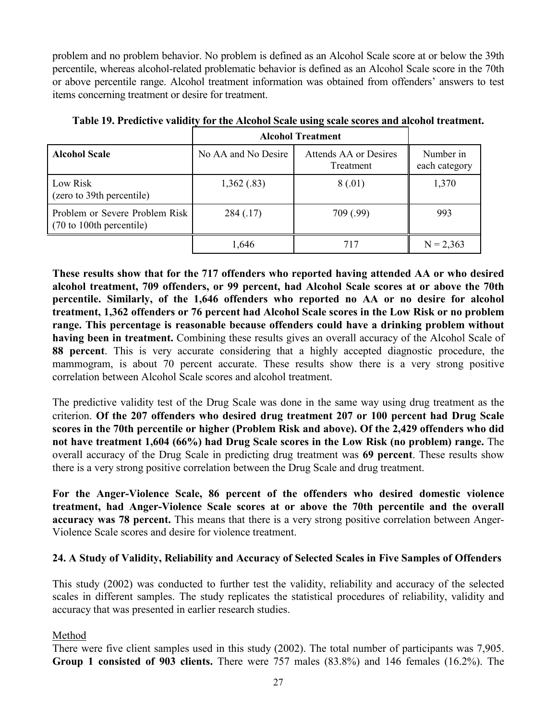problem and no problem behavior. No problem is defined as an Alcohol Scale score at or below the 39th percentile, whereas alcohol-related problematic behavior is defined as an Alcohol Scale score in the 70th or above percentile range. Alcohol treatment information was obtained from offenders' answers to test items concerning treatment or desire for treatment.

|                                                            | <b>Alcohol Treatment</b> |                                    |                            |  |  |
|------------------------------------------------------------|--------------------------|------------------------------------|----------------------------|--|--|
| <b>Alcohol Scale</b>                                       | No AA and No Desire      | Attends AA or Desires<br>Treatment | Number in<br>each category |  |  |
| Low Risk<br>(zero to 39th percentile)                      | 1,362(.83)               | 8(.01)                             | 1,370                      |  |  |
| Problem or Severe Problem Risk<br>(70 to 100th percentile) | 284(.17)                 | 709 (.99)                          | 993                        |  |  |
|                                                            | 1,646                    | 717                                | $N = 2,363$                |  |  |

**Table 19. Predictive validity for the Alcohol Scale using scale scores and alcohol treatment.** 

**These results show that for the 717 offenders who reported having attended AA or who desired alcohol treatment, 709 offenders, or 99 percent, had Alcohol Scale scores at or above the 70th percentile. Similarly, of the 1,646 offenders who reported no AA or no desire for alcohol treatment, 1,362 offenders or 76 percent had Alcohol Scale scores in the Low Risk or no problem range. This percentage is reasonable because offenders could have a drinking problem without having been in treatment.** Combining these results gives an overall accuracy of the Alcohol Scale of **88 percent**. This is very accurate considering that a highly accepted diagnostic procedure, the mammogram, is about 70 percent accurate. These results show there is a very strong positive correlation between Alcohol Scale scores and alcohol treatment.

The predictive validity test of the Drug Scale was done in the same way using drug treatment as the criterion. **Of the 207 offenders who desired drug treatment 207 or 100 percent had Drug Scale scores in the 70th percentile or higher (Problem Risk and above). Of the 2,429 offenders who did not have treatment 1,604 (66%) had Drug Scale scores in the Low Risk (no problem) range.** The overall accuracy of the Drug Scale in predicting drug treatment was **69 percent**. These results show there is a very strong positive correlation between the Drug Scale and drug treatment.

**For the Anger-Violence Scale, 86 percent of the offenders who desired domestic violence treatment, had Anger-Violence Scale scores at or above the 70th percentile and the overall accuracy was 78 percent.** This means that there is a very strong positive correlation between Anger-Violence Scale scores and desire for violence treatment.

# **24. A Study of Validity, Reliability and Accuracy of Selected Scales in Five Samples of Offenders**

This study (2002) was conducted to further test the validity, reliability and accuracy of the selected scales in different samples. The study replicates the statistical procedures of reliability, validity and accuracy that was presented in earlier research studies.

# Method

There were five client samples used in this study (2002). The total number of participants was 7,905. **Group 1 consisted of 903 clients.** There were 757 males (83.8%) and 146 females (16.2%). The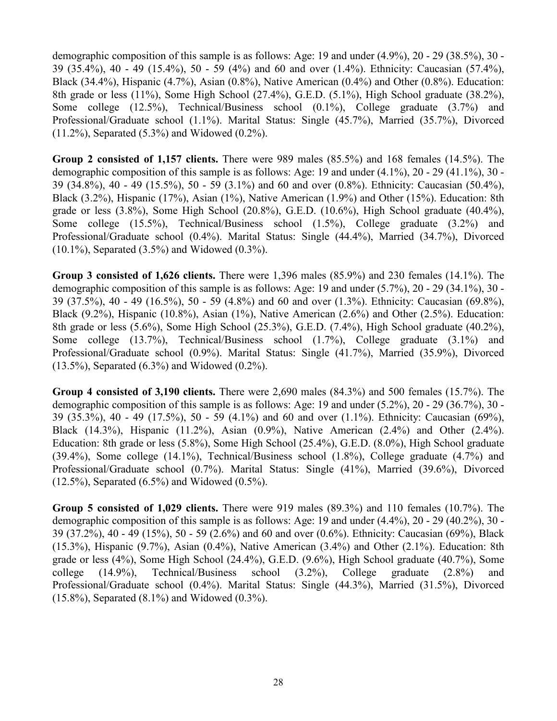demographic composition of this sample is as follows: Age: 19 and under (4.9%), 20 - 29 (38.5%), 30 - 39 (35.4%), 40 - 49 (15.4%), 50 - 59 (4%) and 60 and over (1.4%). Ethnicity: Caucasian (57.4%), Black (34.4%), Hispanic (4.7%), Asian (0.8%), Native American (0.4%) and Other (0.8%). Education: 8th grade or less (11%), Some High School (27.4%), G.E.D. (5.1%), High School graduate (38.2%), Some college (12.5%), Technical/Business school (0.1%), College graduate (3.7%) and Professional/Graduate school (1.1%). Marital Status: Single (45.7%), Married (35.7%), Divorced (11.2%), Separated (5.3%) and Widowed (0.2%).

**Group 2 consisted of 1,157 clients.** There were 989 males (85.5%) and 168 females (14.5%). The demographic composition of this sample is as follows: Age: 19 and under (4.1%), 20 - 29 (41.1%), 30 - 39 (34.8%), 40 - 49 (15.5%), 50 - 59 (3.1%) and 60 and over (0.8%). Ethnicity: Caucasian (50.4%), Black (3.2%), Hispanic (17%), Asian (1%), Native American (1.9%) and Other (15%). Education: 8th grade or less  $(3.8\%)$ , Some High School  $(20.8\%)$ , G.E.D.  $(10.6\%)$ , High School graduate  $(40.4\%)$ , Some college (15.5%), Technical/Business school (1.5%), College graduate (3.2%) and Professional/Graduate school (0.4%). Marital Status: Single (44.4%), Married (34.7%), Divorced (10.1%), Separated (3.5%) and Widowed (0.3%).

**Group 3 consisted of 1,626 clients.** There were 1,396 males (85.9%) and 230 females (14.1%). The demographic composition of this sample is as follows: Age: 19 and under (5.7%), 20 - 29 (34.1%), 30 - 39 (37.5%), 40 - 49 (16.5%), 50 - 59 (4.8%) and 60 and over (1.3%). Ethnicity: Caucasian (69.8%), Black (9.2%), Hispanic (10.8%), Asian (1%), Native American (2.6%) and Other (2.5%). Education: 8th grade or less (5.6%), Some High School (25.3%), G.E.D. (7.4%), High School graduate (40.2%), Some college (13.7%), Technical/Business school (1.7%), College graduate (3.1%) and Professional/Graduate school (0.9%). Marital Status: Single (41.7%), Married (35.9%), Divorced (13.5%), Separated (6.3%) and Widowed (0.2%).

**Group 4 consisted of 3,190 clients.** There were 2,690 males (84.3%) and 500 females (15.7%). The demographic composition of this sample is as follows: Age: 19 and under (5.2%), 20 - 29 (36.7%), 30 - 39 (35.3%), 40 - 49 (17.5%), 50 - 59 (4.1%) and 60 and over (1.1%). Ethnicity: Caucasian (69%), Black (14.3%), Hispanic (11.2%), Asian (0.9%), Native American (2.4%) and Other (2.4%). Education: 8th grade or less (5.8%), Some High School (25.4%), G.E.D. (8.0%), High School graduate (39.4%), Some college (14.1%), Technical/Business school (1.8%), College graduate (4.7%) and Professional/Graduate school (0.7%). Marital Status: Single (41%), Married (39.6%), Divorced (12.5%), Separated (6.5%) and Widowed (0.5%).

**Group 5 consisted of 1,029 clients.** There were 919 males (89.3%) and 110 females (10.7%). The demographic composition of this sample is as follows: Age: 19 and under (4.4%), 20 - 29 (40.2%), 30 - 39 (37.2%), 40 - 49 (15%), 50 - 59 (2.6%) and 60 and over (0.6%). Ethnicity: Caucasian (69%), Black (15.3%), Hispanic (9.7%), Asian (0.4%), Native American (3.4%) and Other (2.1%). Education: 8th grade or less (4%), Some High School (24.4%), G.E.D. (9.6%), High School graduate (40.7%), Some college (14.9%), Technical/Business school (3.2%), College graduate (2.8%) and Professional/Graduate school (0.4%). Marital Status: Single (44.3%), Married (31.5%), Divorced (15.8%), Separated (8.1%) and Widowed (0.3%).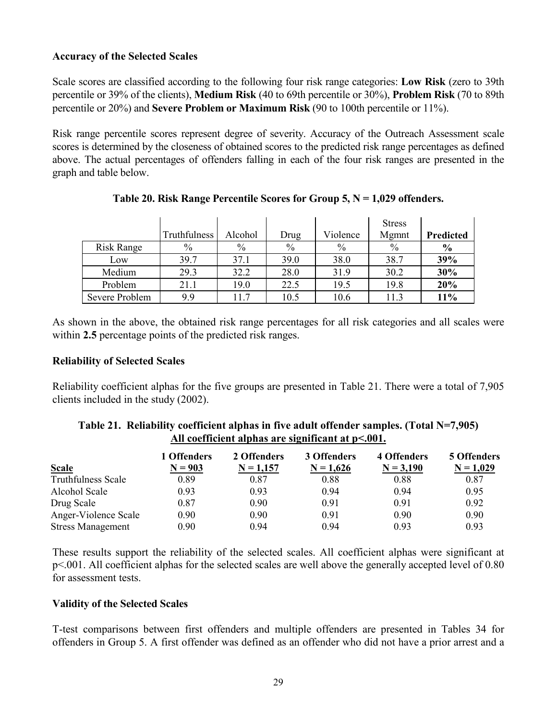# **Accuracy of the Selected Scales**

Scale scores are classified according to the following four risk range categories: **Low Risk** (zero to 39th percentile or 39% of the clients), **Medium Risk** (40 to 69th percentile or 30%), **Problem Risk** (70 to 89th percentile or 20%) and **Severe Problem or Maximum Risk** (90 to 100th percentile or 11%).

Risk range percentile scores represent degree of severity. Accuracy of the Outreach Assessment scale scores is determined by the closeness of obtained scores to the predicted risk range percentages as defined above. The actual percentages of offenders falling in each of the four risk ranges are presented in the graph and table below.

|                   |              |         |               |          | <b>Stress</b> |               |
|-------------------|--------------|---------|---------------|----------|---------------|---------------|
|                   | Truthfulness | Alcohol | Drug          | Violence | Mgmnt         | Predicted     |
| <b>Risk Range</b> | $\%$         | $\%$    | $\frac{0}{0}$ | $\%$     | $\%$          | $\frac{6}{6}$ |
| Low               | 39.7         | 37.1    | 39.0          | 38.0     | 38.7          | 39%           |
| Medium            | 29.3         | 32.2    | 28.0          | 31.9     | 30.2          | 30%           |
| Problem           | 21.1         | 19.0    | 22.5          | 19.5     | 19.8          | 20%           |
| Severe Problem    | 9.9          | 117     | 10.5          | 10.6     | 11.3          | 11%           |

**Table 20. Risk Range Percentile Scores for Group 5, N = 1,029 offenders.** 

As shown in the above, the obtained risk range percentages for all risk categories and all scales were within **2.5** percentage points of the predicted risk ranges.

#### **Reliability of Selected Scales**

Reliability coefficient alphas for the five groups are presented in Table 21. There were a total of 7,905 clients included in the study (2002).

|                           | 1 Offenders | 2 Offenders | 3 Offenders | 4 Offenders | <b>5 Offenders</b> |
|---------------------------|-------------|-------------|-------------|-------------|--------------------|
| <b>Scale</b>              | $N = 903$   | $N = 1,157$ | $N = 1,626$ | $N = 3,190$ | $N = 1,029$        |
| <b>Truthfulness Scale</b> | 0.89        | 0.87        | 0.88        | 0.88        | 0.87               |
| Alcohol Scale             | 0.93        | 0.93        | 0.94        | 0.94        | 0.95               |
| Drug Scale                | 0.87        | 0.90        | 0.91        | 0.91        | 0.92               |
| Anger-Violence Scale      | 0.90        | 0.90        | 0.91        | 0.90        | 0.90               |
| <b>Stress Management</b>  | 0.90        | 0.94        | 0.94        | 0.93        | 0.93               |

| Table 21. Reliability coefficient alphas in five adult offender samples. (Total N=7,905) |  |
|------------------------------------------------------------------------------------------|--|
| All coefficient alphas are significant at $p<.001$ .                                     |  |

These results support the reliability of the selected scales. All coefficient alphas were significant at p<.001. All coefficient alphas for the selected scales are well above the generally accepted level of 0.80 for assessment tests.

#### **Validity of the Selected Scales**

T-test comparisons between first offenders and multiple offenders are presented in Tables 34 for offenders in Group 5. A first offender was defined as an offender who did not have a prior arrest and a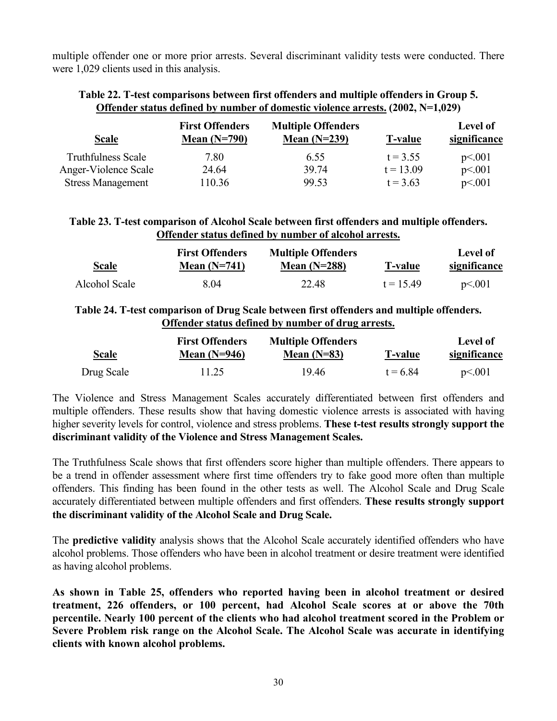multiple offender one or more prior arrests. Several discriminant validity tests were conducted. There were 1,029 clients used in this analysis.

# **Table 22. T-test comparisons between first offenders and multiple offenders in Group 5. Offender status defined by number of domestic violence arrests. (2002, N=1,029)**

| <b>Scale</b>              | <b>First Offenders</b><br>Mean $(N=790)$ | <b>Multiple Offenders</b><br>Mean $(N=239)$ | <b>T-value</b> | <b>Level of</b><br>significance |
|---------------------------|------------------------------------------|---------------------------------------------|----------------|---------------------------------|
| <b>Truthfulness Scale</b> | 7.80                                     | 6.55                                        | $t = 3.55$     | p<.001                          |
| Anger-Violence Scale      | 24.64                                    | 39.74                                       | $t = 13.09$    | p<.001                          |
| <b>Stress Management</b>  | 110.36                                   | 99.53                                       | $t = 3.63$     | p<.001                          |

# **Table 23. T-test comparison of Alcohol Scale between first offenders and multiple offenders. Offender status defined by number of alcohol arrests.**

| <b>Scale</b>  | <b>First Offenders</b><br>Mean $(N=741)$ | <b>Multiple Offenders</b><br>Mean $(N=288)$ | <b>T-value</b> | Level of<br>significance |
|---------------|------------------------------------------|---------------------------------------------|----------------|--------------------------|
| Alcohol Scale | 8.04                                     | 22.48                                       | $t = 15.49$    | p<.001                   |

# **Table 24. T-test comparison of Drug Scale between first offenders and multiple offenders. Offender status defined by number of drug arrests.**

|              | <b>First Offenders</b> | <b>Multiple Offenders</b> |                | Level of     |
|--------------|------------------------|---------------------------|----------------|--------------|
| <b>Scale</b> | Mean $(N=946)$         | Mean $(N=83)$             | <b>T-value</b> | significance |
| Drug Scale   | 11.25                  | 19.46                     | $t = 6.84$     | p<.001       |

The Violence and Stress Management Scales accurately differentiated between first offenders and multiple offenders. These results show that having domestic violence arrests is associated with having higher severity levels for control, violence and stress problems. **These t-test results strongly support the discriminant validity of the Violence and Stress Management Scales.**

The Truthfulness Scale shows that first offenders score higher than multiple offenders. There appears to be a trend in offender assessment where first time offenders try to fake good more often than multiple offenders. This finding has been found in the other tests as well. The Alcohol Scale and Drug Scale accurately differentiated between multiple offenders and first offenders. **These results strongly support the discriminant validity of the Alcohol Scale and Drug Scale.** 

The **predictive validity** analysis shows that the Alcohol Scale accurately identified offenders who have alcohol problems. Those offenders who have been in alcohol treatment or desire treatment were identified as having alcohol problems.

**As shown in Table 25, offenders who reported having been in alcohol treatment or desired treatment, 226 offenders, or 100 percent, had Alcohol Scale scores at or above the 70th percentile. Nearly 100 percent of the clients who had alcohol treatment scored in the Problem or Severe Problem risk range on the Alcohol Scale. The Alcohol Scale was accurate in identifying clients with known alcohol problems.**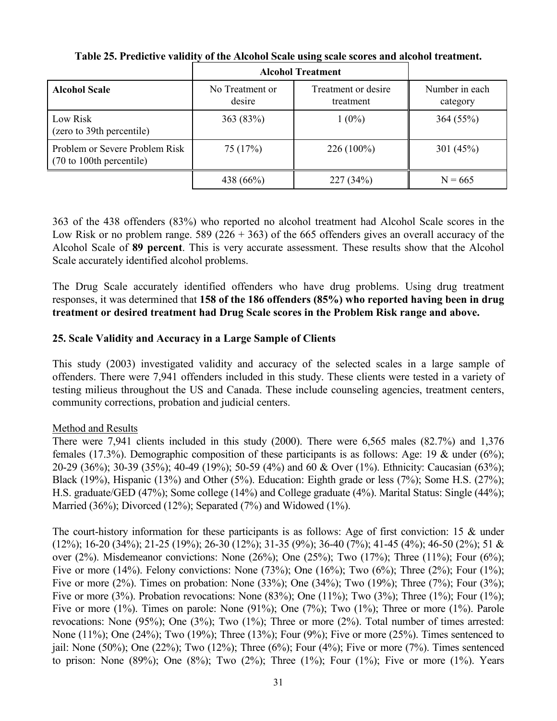|                                                                               |                           | <b>Alcohol Treatment</b>         |                            |
|-------------------------------------------------------------------------------|---------------------------|----------------------------------|----------------------------|
| <b>Alcohol Scale</b>                                                          | No Treatment or<br>desire | Treatment or desire<br>treatment | Number in each<br>category |
| Low Risk<br>(zero to 39th percentile)                                         | 363 (83%)                 | $1(0\%)$                         | 364(55%)                   |
| Problem or Severe Problem Risk<br>$(70 \text{ to } 100 \text{th}$ percentile) | 75 (17%)                  | $226(100\%)$                     | 301 $(45%)$                |
|                                                                               | 438 (66%)                 | 227(34%)                         | $N = 665$                  |

**Table 25. Predictive validity of the Alcohol Scale using scale scores and alcohol treatment.** 

363 of the 438 offenders (83%) who reported no alcohol treatment had Alcohol Scale scores in the Low Risk or no problem range. 589 (226 + 363) of the 665 offenders gives an overall accuracy of the Alcohol Scale of **89 percent**. This is very accurate assessment. These results show that the Alcohol Scale accurately identified alcohol problems.

The Drug Scale accurately identified offenders who have drug problems. Using drug treatment responses, it was determined that **158 of the 186 offenders (85%) who reported having been in drug treatment or desired treatment had Drug Scale scores in the Problem Risk range and above.** 

# **25. Scale Validity and Accuracy in a Large Sample of Clients**

This study (2003) investigated validity and accuracy of the selected scales in a large sample of offenders. There were 7,941 offenders included in this study. These clients were tested in a variety of testing milieus throughout the US and Canada. These include counseling agencies, treatment centers, community corrections, probation and judicial centers.

# Method and Results

There were 7,941 clients included in this study (2000). There were 6,565 males (82.7%) and 1,376 females (17.3%). Demographic composition of these participants is as follows: Age: 19 & under (6%); 20-29 (36%); 30-39 (35%); 40-49 (19%); 50-59 (4%) and 60 & Over (1%). Ethnicity: Caucasian (63%); Black (19%), Hispanic (13%) and Other (5%). Education: Eighth grade or less (7%); Some H.S. (27%); H.S. graduate/GED (47%); Some college (14%) and College graduate (4%). Marital Status: Single (44%); Married (36%); Divorced (12%); Separated (7%) and Widowed (1%).

The court-history information for these participants is as follows: Age of first conviction: 15 & under (12%); 16-20 (34%); 21-25 (19%); 26-30 (12%); 31-35 (9%); 36-40 (7%); 41-45 (4%); 46-50 (2%); 51 & over (2%). Misdemeanor convictions: None (26%); One (25%); Two (17%); Three (11%); Four (6%); Five or more (14%). Felony convictions: None (73%); One (16%); Two (6%); Three (2%); Four (1%); Five or more (2%). Times on probation: None (33%); One (34%); Two (19%); Three (7%); Four (3%); Five or more (3%). Probation revocations: None (83%); One (11%); Two (3%); Three (1%); Four (1%); Five or more  $(1\%)$ . Times on parole: None  $(91\%)$ ; One  $(7\%)$ ; Two  $(1\%)$ ; Three or more  $(1\%)$ . Parole revocations: None (95%); One (3%); Two (1%); Three or more (2%). Total number of times arrested: None (11%); One (24%); Two (19%); Three (13%); Four (9%); Five or more (25%). Times sentenced to jail: None (50%); One (22%); Two (12%); Three (6%); Four (4%); Five or more (7%). Times sentenced to prison: None  $(89\%)$ ; One  $(8\%)$ ; Two  $(2\%)$ ; Three  $(1\%)$ ; Four  $(1\%)$ ; Five or more  $(1\%)$ . Years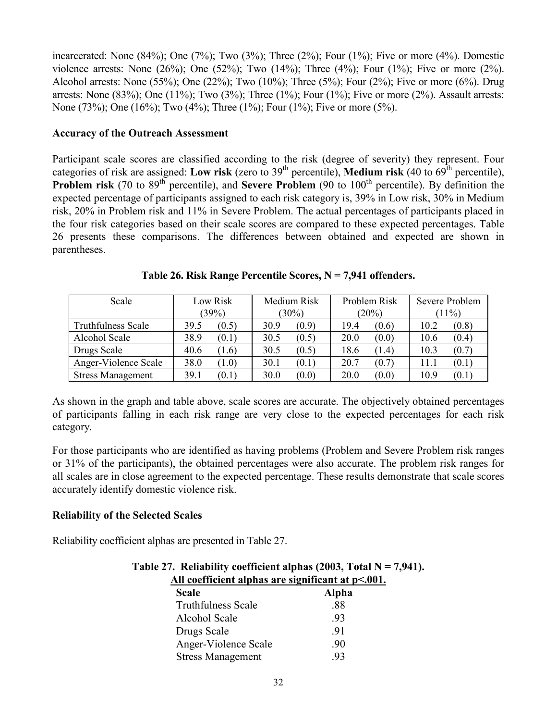incarcerated: None  $(84\%)$ ; One  $(7\%)$ ; Two  $(3\%)$ ; Three  $(2\%)$ ; Four  $(1\%)$ ; Five or more  $(4\%)$ . Domestic violence arrests: None  $(26%)$ ; One  $(52%)$ ; Two  $(14%)$ ; Three  $(4%)$ ; Four  $(1%)$ ; Five or more  $(2%)$ . Alcohol arrests: None (55%); One (22%); Two (10%); Three (5%); Four (2%); Five or more (6%). Drug arrests: None  $(83\%)$ ; One  $(11\%)$ ; Two  $(3\%)$ ; Three  $(1\%)$ ; Four  $(1\%)$ ; Five or more  $(2\%)$ . Assault arrests: None (73%); One (16%); Two (4%); Three (1%); Four (1%); Five or more (5%).

#### **Accuracy of the Outreach Assessment**

Participant scale scores are classified according to the risk (degree of severity) they represent. Four categories of risk are assigned: **Low risk** (zero to 39<sup>th</sup> percentile), **Medium risk** (40 to 69<sup>th</sup> percentile), **Problem risk** (70 to 89<sup>th</sup> percentile), and **Severe Problem** (90 to 100<sup>th</sup> percentile). By definition the expected percentage of participants assigned to each risk category is, 39% in Low risk, 30% in Medium risk, 20% in Problem risk and 11% in Severe Problem. The actual percentages of participants placed in the four risk categories based on their scale scores are compared to these expected percentages. Table 26 presents these comparisons. The differences between obtained and expected are shown in parentheses.

| Scale                     | Low Risk | Medium Risk | Problem Risk | Severe Problem |  |
|---------------------------|----------|-------------|--------------|----------------|--|
|                           | (39%)    | $(30\%)$    | (20%)        | $(11\%)$       |  |
| <b>Truthfulness Scale</b> | (0.5)    | (0.9)       | 19.4         | (0.8)          |  |
|                           | 39.5     | 30.9        | (0.6)        | 10.2           |  |
| Alcohol Scale             | 38.9     | (0.5)       | (0.0)        | (0.4)          |  |
|                           | (0.1)    | 30.5        | 20.0         | 10.6           |  |
| Drugs Scale               | 40.6     | 30.5        | 18.6         | 10.3           |  |
|                           | (1.6)    | (0.5)       | (1.4)        | (0.7)          |  |
| Anger-Violence Scale      | 38.0     | (0.1)       | 20.7         | (0.1)          |  |
|                           | (1.0)    | 30.1        | (0.7)        | 11.1           |  |
| <b>Stress Management</b>  | 39.1     | 30.0        | 20.0         | 10.9           |  |
|                           | (0.1)    | (0.0)       | (0.0)        | (0.1)          |  |

**Table 26. Risk Range Percentile Scores, N = 7,941 offenders.** 

As shown in the graph and table above, scale scores are accurate. The objectively obtained percentages of participants falling in each risk range are very close to the expected percentages for each risk category.

For those participants who are identified as having problems (Problem and Severe Problem risk ranges or 31% of the participants), the obtained percentages were also accurate. The problem risk ranges for all scales are in close agreement to the expected percentage. These results demonstrate that scale scores accurately identify domestic violence risk.

# **Reliability of the Selected Scales**

Reliability coefficient alphas are presented in Table 27.

|       | Table 27. Reliability coefficient alphas (2003, Total $N = 7,941$ ). |
|-------|----------------------------------------------------------------------|
|       | All coefficient alphas are significant at $p<.001$ .                 |
| Seala | Alnha                                                                |

| <b>Scale</b>              | Alpha |
|---------------------------|-------|
| <b>Truthfulness Scale</b> | -88   |
| Alcohol Scale             | -93   |
| Drugs Scale               | -91   |
| Anger-Violence Scale      | -90   |
| <b>Stress Management</b>  | -93   |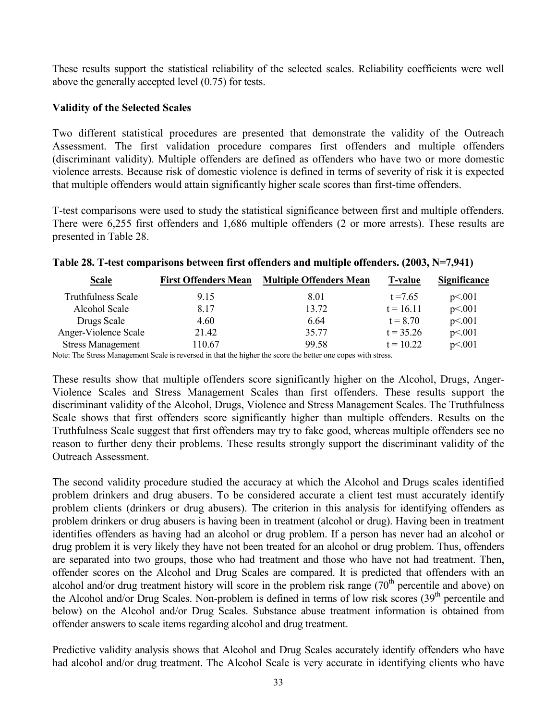These results support the statistical reliability of the selected scales. Reliability coefficients were well above the generally accepted level (0.75) for tests.

#### **Validity of the Selected Scales**

Two different statistical procedures are presented that demonstrate the validity of the Outreach Assessment. The first validation procedure compares first offenders and multiple offenders (discriminant validity). Multiple offenders are defined as offenders who have two or more domestic violence arrests. Because risk of domestic violence is defined in terms of severity of risk it is expected that multiple offenders would attain significantly higher scale scores than first-time offenders.

T-test comparisons were used to study the statistical significance between first and multiple offenders. There were 6,255 first offenders and 1,686 multiple offenders (2 or more arrests). These results are presented in Table 28.

| <b>Scale</b>              | <b>First Offenders Mean</b> | <b>Multiple Offenders Mean</b> | <b>T-value</b> | Significance |
|---------------------------|-----------------------------|--------------------------------|----------------|--------------|
| <b>Truthfulness Scale</b> | 9.15                        | 8.01                           | $t = 7.65$     | p<.001       |
| Alcohol Scale             | 8.17                        | 13.72                          | $t = 16.11$    | p<.001       |
| Drugs Scale               | 4.60                        | 6.64                           | $t = 8.70$     | p<.001       |
| Anger-Violence Scale      | 21.42                       | 35.77                          | $t = 35.26$    | p<.001       |
| <b>Stress Management</b>  | 110.67                      | 99.58                          | $t = 10.22$    | p<.001       |

|  | Table 28. T-test comparisons between first offenders and multiple offenders. (2003, N=7,941) |  |  |  |  |  |
|--|----------------------------------------------------------------------------------------------|--|--|--|--|--|
|  |                                                                                              |  |  |  |  |  |

Note: The Stress Management Scale is reversed in that the higher the score the better one copes with stress.

These results show that multiple offenders score significantly higher on the Alcohol, Drugs, Anger-Violence Scales and Stress Management Scales than first offenders. These results support the discriminant validity of the Alcohol, Drugs, Violence and Stress Management Scales. The Truthfulness Scale shows that first offenders score significantly higher than multiple offenders. Results on the Truthfulness Scale suggest that first offenders may try to fake good, whereas multiple offenders see no reason to further deny their problems. These results strongly support the discriminant validity of the Outreach Assessment.

The second validity procedure studied the accuracy at which the Alcohol and Drugs scales identified problem drinkers and drug abusers. To be considered accurate a client test must accurately identify problem clients (drinkers or drug abusers). The criterion in this analysis for identifying offenders as problem drinkers or drug abusers is having been in treatment (alcohol or drug). Having been in treatment identifies offenders as having had an alcohol or drug problem. If a person has never had an alcohol or drug problem it is very likely they have not been treated for an alcohol or drug problem. Thus, offenders are separated into two groups, those who had treatment and those who have not had treatment. Then, offender scores on the Alcohol and Drug Scales are compared. It is predicted that offenders with an alcohol and/or drug treatment history will score in the problem risk range  $(70<sup>th</sup>$  percentile and above) on the Alcohol and/or Drug Scales. Non-problem is defined in terms of low risk scores  $(39<sup>th</sup>$  percentile and below) on the Alcohol and/or Drug Scales. Substance abuse treatment information is obtained from offender answers to scale items regarding alcohol and drug treatment.

Predictive validity analysis shows that Alcohol and Drug Scales accurately identify offenders who have had alcohol and/or drug treatment. The Alcohol Scale is very accurate in identifying clients who have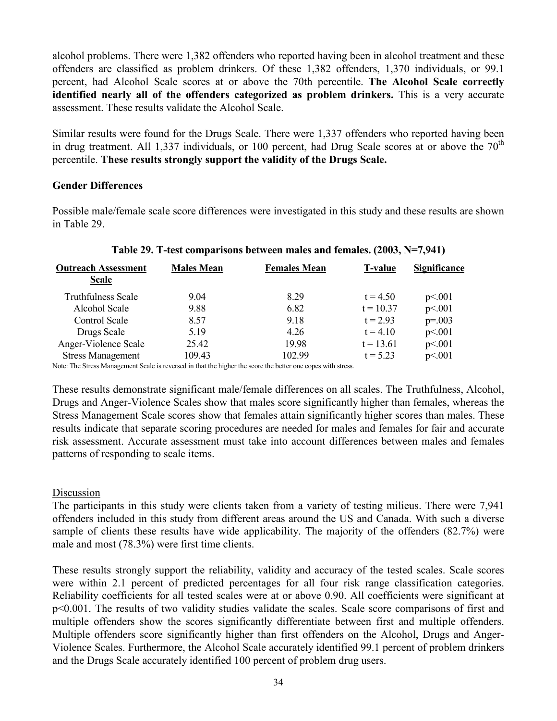alcohol problems. There were 1,382 offenders who reported having been in alcohol treatment and these offenders are classified as problem drinkers. Of these 1,382 offenders, 1,370 individuals, or 99.1 percent, had Alcohol Scale scores at or above the 70th percentile. **The Alcohol Scale correctly identified nearly all of the offenders categorized as problem drinkers.** This is a very accurate assessment. These results validate the Alcohol Scale.

Similar results were found for the Drugs Scale. There were 1,337 offenders who reported having been in drug treatment. All 1,337 individuals, or 100 percent, had Drug Scale scores at or above the  $70<sup>th</sup>$ percentile. **These results strongly support the validity of the Drugs Scale.**

#### **Gender Differences**

Possible male/female scale score differences were investigated in this study and these results are shown in Table 29.

| <b>Outreach Assessment</b><br><b>Scale</b> | <b>Males Mean</b> | <b>Females Mean</b> | <b>T-value</b> | <b>Significance</b> |
|--------------------------------------------|-------------------|---------------------|----------------|---------------------|
| <b>Truthfulness Scale</b>                  | 9.04              | 8.29                | $t = 4.50$     | p<.001              |
| Alcohol Scale                              | 9.88              | 6.82                | $t = 10.37$    | p<.001              |
| Control Scale                              | 8.57              | 9.18                | $t = 2.93$     | $p=.003$            |
| Drugs Scale                                | 5.19              | 4.26                | $t = 4.10$     | p<.001              |
| Anger-Violence Scale                       | 25.42             | 19.98               | $t = 13.61$    | p<.001              |
| <b>Stress Management</b>                   | 109.43            | 102.99              | $t = 5.23$     | p<.001              |

#### **Table 29. T-test comparisons between males and females. (2003, N=7,941)**

Note: The Stress Management Scale is reversed in that the higher the score the better one copes with stress.

These results demonstrate significant male/female differences on all scales. The Truthfulness, Alcohol, Drugs and Anger-Violence Scales show that males score significantly higher than females, whereas the Stress Management Scale scores show that females attain significantly higher scores than males. These results indicate that separate scoring procedures are needed for males and females for fair and accurate risk assessment. Accurate assessment must take into account differences between males and females patterns of responding to scale items.

# Discussion

The participants in this study were clients taken from a variety of testing milieus. There were 7,941 offenders included in this study from different areas around the US and Canada. With such a diverse sample of clients these results have wide applicability. The majority of the offenders (82.7%) were male and most (78.3%) were first time clients.

These results strongly support the reliability, validity and accuracy of the tested scales. Scale scores were within 2.1 percent of predicted percentages for all four risk range classification categories. Reliability coefficients for all tested scales were at or above 0.90. All coefficients were significant at p<0.001. The results of two validity studies validate the scales. Scale score comparisons of first and multiple offenders show the scores significantly differentiate between first and multiple offenders. Multiple offenders score significantly higher than first offenders on the Alcohol, Drugs and Anger-Violence Scales. Furthermore, the Alcohol Scale accurately identified 99.1 percent of problem drinkers and the Drugs Scale accurately identified 100 percent of problem drug users.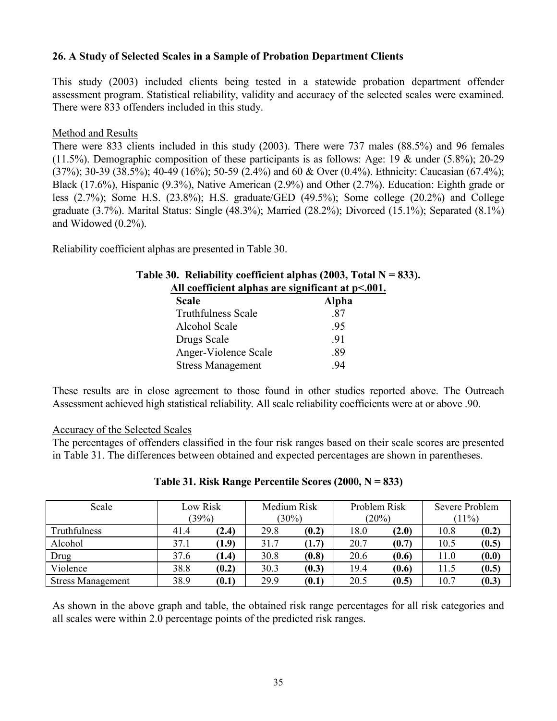# **26. A Study of Selected Scales in a Sample of Probation Department Clients**

This study (2003) included clients being tested in a statewide probation department offender assessment program. Statistical reliability, validity and accuracy of the selected scales were examined. There were 833 offenders included in this study.

# Method and Results

There were 833 clients included in this study (2003). There were 737 males (88.5%) and 96 females (11.5%). Demographic composition of these participants is as follows: Age: 19 & under (5.8%); 20-29 (37%); 30-39 (38.5%); 40-49 (16%); 50-59 (2.4%) and 60 & Over (0.4%). Ethnicity: Caucasian (67.4%); Black (17.6%), Hispanic (9.3%), Native American (2.9%) and Other (2.7%). Education: Eighth grade or less (2.7%); Some H.S. (23.8%); H.S. graduate/GED (49.5%); Some college (20.2%) and College graduate (3.7%). Marital Status: Single (48.3%); Married (28.2%); Divorced (15.1%); Separated (8.1%) and Widowed (0.2%).

Reliability coefficient alphas are presented in Table 30.

| Table 30. Reliability coefficient alphas (2003, Total $N = 833$ ). |              |  |  |  |  |  |
|--------------------------------------------------------------------|--------------|--|--|--|--|--|
| All coefficient alphas are significant at $p<.001$ .               |              |  |  |  |  |  |
| <b>Scale</b>                                                       | <b>Alpha</b> |  |  |  |  |  |
| <b>Truthfulness Scale</b>                                          | .87          |  |  |  |  |  |
| Alcohol Scale                                                      | .95          |  |  |  |  |  |
| Drugs Scale                                                        | -91          |  |  |  |  |  |
| Anger-Violence Scale                                               | .89          |  |  |  |  |  |
| <b>Stress Management</b>                                           | -94          |  |  |  |  |  |

These results are in close agreement to those found in other studies reported above. The Outreach Assessment achieved high statistical reliability. All scale reliability coefficients were at or above .90.

# Accuracy of the Selected Scales

The percentages of offenders classified in the four risk ranges based on their scale scores are presented in Table 31. The differences between obtained and expected percentages are shown in parentheses.

| Scale                    | Low Risk<br>(39%) |       |      | Medium Risk<br>(30%) |      | Problem Risk<br>(20%) |      | Severe Problem<br>$(11\%)$ |  |
|--------------------------|-------------------|-------|------|----------------------|------|-----------------------|------|----------------------------|--|
| <b>Truthfulness</b>      | 41.4              | (2.4) | 29.8 | (0.2)                | 18.0 | (2.0)                 | 10.8 | (0.2)                      |  |
| Alcohol                  | 37.1              | (1.9) | 31.7 | (1.7)                | 20.7 | (0.7)                 | 10.5 | (0.5)                      |  |
| Drug                     | 37.6              | (1.4) | 30.8 | (0.8)                | 20.6 | (0.6)                 | 11.0 | (0.0)                      |  |
| Violence                 | 38.8              | (0.2) | 30.3 | (0.3)                | 19.4 | (0.6)                 | 11.5 | (0.5)                      |  |
| <b>Stress Management</b> | 38.9              | (0.1) | 29.9 | (0.1)                | 20.5 | (0.5)                 | 10.7 | (0.3)                      |  |

# **Table 31. Risk Range Percentile Scores (2000, N = 833)**

As shown in the above graph and table, the obtained risk range percentages for all risk categories and all scales were within 2.0 percentage points of the predicted risk ranges.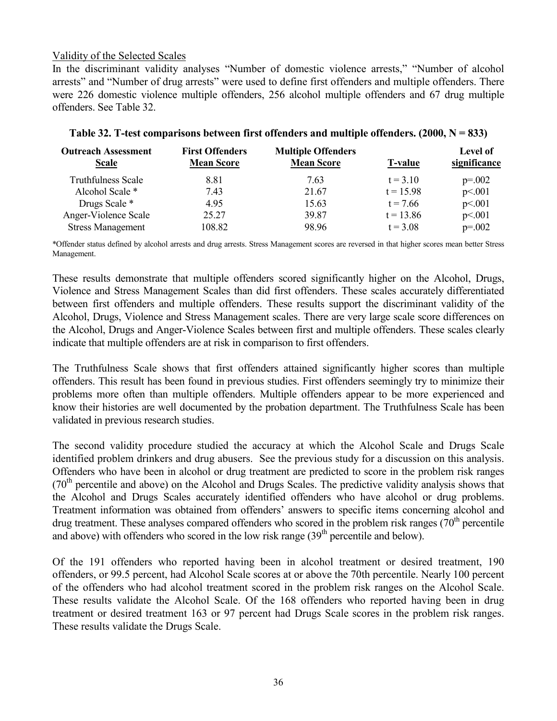# Validity of the Selected Scales

In the discriminant validity analyses "Number of domestic violence arrests," "Number of alcohol arrests" and "Number of drug arrests" were used to define first offenders and multiple offenders. There were 226 domestic violence multiple offenders, 256 alcohol multiple offenders and 67 drug multiple offenders. See Table 32.

| <b>Outreach Assessment</b><br><b>Scale</b> | <b>First Offenders</b><br><b>Mean Score</b> | <b>Multiple Offenders</b><br><b>Mean Score</b> | <b>T-value</b> | <b>Level of</b><br>significance |
|--------------------------------------------|---------------------------------------------|------------------------------------------------|----------------|---------------------------------|
| <b>Truthfulness Scale</b>                  | 8.81                                        | 7.63                                           | $t = 3.10$     | $p=.002$                        |
| Alcohol Scale *                            | 7.43                                        | 21.67                                          | $t = 15.98$    | p<.001                          |
| Drugs Scale *                              | 4.95                                        | 15.63                                          | $t = 7.66$     | p<.001                          |
| Anger-Violence Scale                       | 25.27                                       | 39.87                                          | $t = 13.86$    | p<.001                          |
| <b>Stress Management</b>                   | 108.82                                      | 98.96                                          | $t = 3.08$     | $p=.002$                        |

#### **Table 32. T-test comparisons between first offenders and multiple offenders. (2000, N = 833)**

\*Offender status defined by alcohol arrests and drug arrests. Stress Management scores are reversed in that higher scores mean better Stress Management.

These results demonstrate that multiple offenders scored significantly higher on the Alcohol, Drugs, Violence and Stress Management Scales than did first offenders. These scales accurately differentiated between first offenders and multiple offenders. These results support the discriminant validity of the Alcohol, Drugs, Violence and Stress Management scales. There are very large scale score differences on the Alcohol, Drugs and Anger-Violence Scales between first and multiple offenders. These scales clearly indicate that multiple offenders are at risk in comparison to first offenders.

The Truthfulness Scale shows that first offenders attained significantly higher scores than multiple offenders. This result has been found in previous studies. First offenders seemingly try to minimize their problems more often than multiple offenders. Multiple offenders appear to be more experienced and know their histories are well documented by the probation department. The Truthfulness Scale has been validated in previous research studies.

The second validity procedure studied the accuracy at which the Alcohol Scale and Drugs Scale identified problem drinkers and drug abusers. See the previous study for a discussion on this analysis. Offenders who have been in alcohol or drug treatment are predicted to score in the problem risk ranges  $(70<sup>th</sup>$  percentile and above) on the Alcohol and Drugs Scales. The predictive validity analysis shows that the Alcohol and Drugs Scales accurately identified offenders who have alcohol or drug problems. Treatment information was obtained from offenders' answers to specific items concerning alcohol and drug treatment. These analyses compared offenders who scored in the problem risk ranges  $(70<sup>th</sup>$  percentile and above) with offenders who scored in the low risk range  $(39<sup>th</sup>$  percentile and below).

Of the 191 offenders who reported having been in alcohol treatment or desired treatment, 190 offenders, or 99.5 percent, had Alcohol Scale scores at or above the 70th percentile. Nearly 100 percent of the offenders who had alcohol treatment scored in the problem risk ranges on the Alcohol Scale. These results validate the Alcohol Scale. Of the 168 offenders who reported having been in drug treatment or desired treatment 163 or 97 percent had Drugs Scale scores in the problem risk ranges. These results validate the Drugs Scale.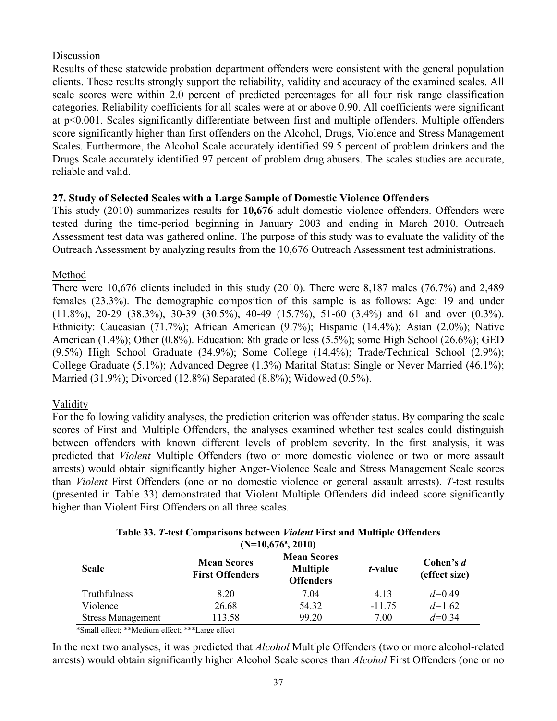# Discussion

Results of these statewide probation department offenders were consistent with the general population clients. These results strongly support the reliability, validity and accuracy of the examined scales. All scale scores were within 2.0 percent of predicted percentages for all four risk range classification categories. Reliability coefficients for all scales were at or above 0.90. All coefficients were significant at p<0.001. Scales significantly differentiate between first and multiple offenders. Multiple offenders score significantly higher than first offenders on the Alcohol, Drugs, Violence and Stress Management Scales. Furthermore, the Alcohol Scale accurately identified 99.5 percent of problem drinkers and the Drugs Scale accurately identified 97 percent of problem drug abusers. The scales studies are accurate, reliable and valid.

# **27. Study of Selected Scales with a Large Sample of Domestic Violence Offenders**

This study (2010) summarizes results for **10,676** adult domestic violence offenders. Offenders were tested during the time-period beginning in January 2003 and ending in March 2010. Outreach Assessment test data was gathered online. The purpose of this study was to evaluate the validity of the Outreach Assessment by analyzing results from the 10,676 Outreach Assessment test administrations.

# Method

There were 10,676 clients included in this study (2010). There were 8,187 males (76.7%) and 2,489 females (23.3%). The demographic composition of this sample is as follows: Age: 19 and under (11.8%), 20-29 (38.3%), 30-39 (30.5%), 40-49 (15.7%), 51-60 (3.4%) and 61 and over (0.3%). Ethnicity: Caucasian (71.7%); African American (9.7%); Hispanic (14.4%); Asian (2.0%); Native American (1.4%); Other (0.8%). Education: 8th grade or less (5.5%); some High School (26.6%); GED (9.5%) High School Graduate (34.9%); Some College (14.4%); Trade/Technical School (2.9%); College Graduate (5.1%); Advanced Degree (1.3%) Marital Status: Single or Never Married (46.1%); Married (31.9%); Divorced (12.8%) Separated (8.8%); Widowed (0.5%).

# Validity

For the following validity analyses, the prediction criterion was offender status. By comparing the scale scores of First and Multiple Offenders, the analyses examined whether test scales could distinguish between offenders with known different levels of problem severity. In the first analysis, it was predicted that *Violent* Multiple Offenders (two or more domestic violence or two or more assault arrests) would obtain significantly higher Anger-Violence Scale and Stress Management Scale scores than *Violent* First Offenders (one or no domestic violence or general assault arrests). *T*-test results (presented in Table 33) demonstrated that Violent Multiple Offenders did indeed score significantly higher than Violent First Offenders on all three scales.

| $(N=10,676^{\circ}, 2010)$ |                                              |                                                           |                 |                            |  |  |  |
|----------------------------|----------------------------------------------|-----------------------------------------------------------|-----------------|----------------------------|--|--|--|
| <b>Scale</b>               | <b>Mean Scores</b><br><b>First Offenders</b> | <b>Mean Scores</b><br><b>Multiple</b><br><b>Offenders</b> | <i>t</i> -value | Cohen's d<br>(effect size) |  |  |  |
| Truthfulness               | 8.20                                         | 7.04                                                      | 4.13            | $d=0.49$                   |  |  |  |
| Violence                   | 26.68                                        | 54.32                                                     | $-11.75$        | $d=1.62$                   |  |  |  |
| <b>Stress Management</b>   | 113.58                                       | 99.20                                                     | 7.00            | $d=0.34$                   |  |  |  |

**Table 33.** *T***-test Comparisons between** *Violent* **First and Multiple Offenders** 

\*Small effect; \*\*Medium effect; \*\*\*Large effect

In the next two analyses, it was predicted that *Alcohol* Multiple Offenders (two or more alcohol-related arrests) would obtain significantly higher Alcohol Scale scores than *Alcohol* First Offenders (one or no